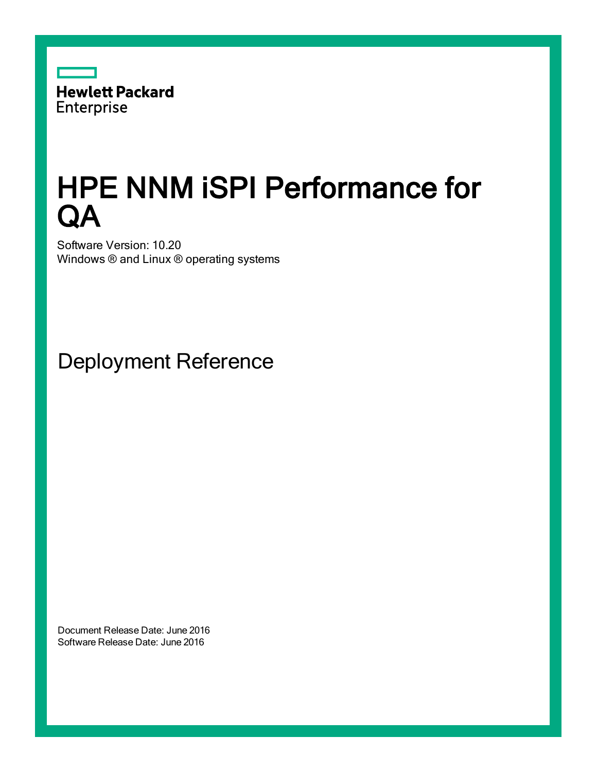

# HPE NNM iSPI Performance for **QA**

Software Version: 10.20 Windows ® and Linux ® operating systems

Deployment Reference

Document Release Date: June 2016 Software Release Date: June 2016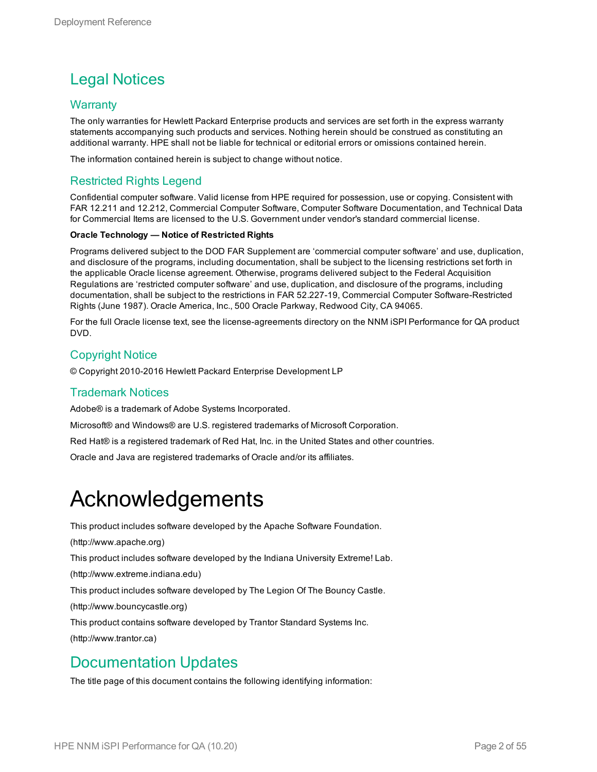### Legal Notices

#### **Warranty**

The only warranties for Hewlett Packard Enterprise products and services are set forth in the express warranty statements accompanying such products and services. Nothing herein should be construed as constituting an additional warranty. HPE shall not be liable for technical or editorial errors or omissions contained herein.

The information contained herein is subject to change without notice.

#### Restricted Rights Legend

Confidential computer software. Valid license from HPE required for possession, use or copying. Consistent with FAR 12.211 and 12.212, Commercial Computer Software, Computer Software Documentation, and Technical Data for Commercial Items are licensed to the U.S. Government under vendor's standard commercial license.

#### **Oracle Technology — Notice of Restricted Rights**

Programs delivered subject to the DOD FAR Supplement are 'commercial computer software' and use, duplication, and disclosure of the programs, including documentation, shall be subject to the licensing restrictions set forth in the applicable Oracle license agreement. Otherwise, programs delivered subject to the Federal Acquisition Regulations are 'restricted computer software' and use, duplication, and disclosure of the programs, including documentation, shall be subject to the restrictions in FAR 52.227-19, Commercial Computer Software-Restricted Rights (June 1987). Oracle America, Inc., 500 Oracle Parkway, Redwood City, CA 94065.

For the full Oracle license text, see the license-agreements directory on the NNM iSPI Performance for QA product DVD.

#### Copyright Notice

© Copyright 2010-2016 Hewlett Packard Enterprise Development LP

#### Trademark Notices

Adobe® is a trademark of Adobe Systems Incorporated.

Microsoft® and Windows® are U.S. registered trademarks of Microsoft Corporation.

Red Hat® is a registered trademark of Red Hat, Inc. in the United States and other countries.

Oracle and Java are registered trademarks of Oracle and/or its affiliates.

## Acknowledgements

This product includes software developed by the Apache Software Foundation.

(http://www.apache.org)

This product includes software developed by the Indiana University Extreme! Lab.

(http://www.extreme.indiana.edu)

This product includes software developed by The Legion Of The Bouncy Castle.

(http://www.bouncycastle.org)

This product contains software developed by Trantor Standard Systems Inc.

(http://www.trantor.ca)

#### Documentation Updates

The title page of this document contains the following identifying information: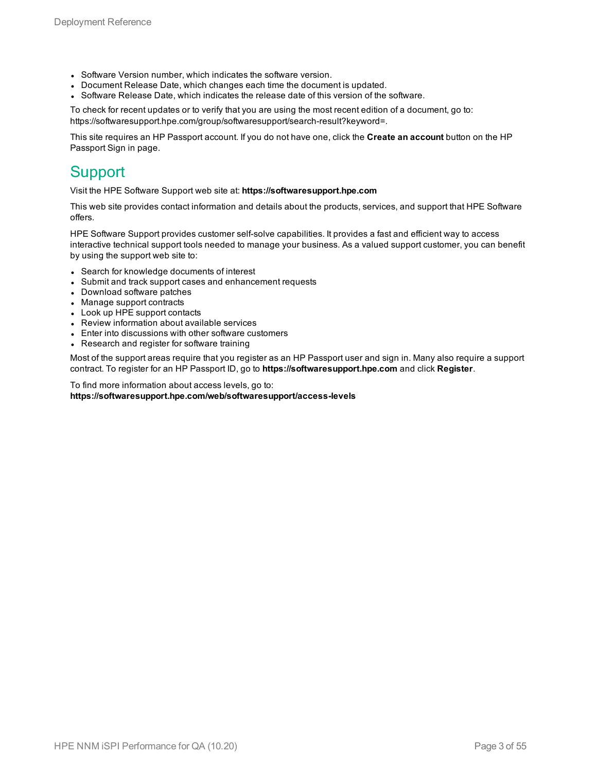- Software Version number, which indicates the software version.
- Document Release Date, which changes each time the document is updated.
- <sup>l</sup> Software Release Date, which indicates the release date of this version of the software.

To check for recent updates or to verify that you are using the most recent edition of a document, go to: https://softwaresupport.hpe.com/group/softwaresupport/search-result?keyword=.

This site requires an HP Passport account. If you do not have one, click the **Create an account** button on the HP Passport Sign in page.

#### **Support**

Visit the HPE Software Support web site at: **https://softwaresupport.hpe.com**

This web site provides contact information and details about the products, services, and support that HPE Software offers.

HPE Software Support provides customer self-solve capabilities. It provides a fast and efficient way to access interactive technical support tools needed to manage your business. As a valued support customer, you can benefit by using the support web site to:

- Search for knowledge documents of interest
- Submit and track support cases and enhancement requests
- Download software patches
- Manage support contracts
- Look up HPE support contacts
- Review information about available services
- Enter into discussions with other software customers
- Research and register for software training

Most of the support areas require that you register as an HP Passport user and sign in. Many also require a support contract. To register for an HP Passport ID, go to **https://softwaresupport.hpe.com** and click **Register**.

To find more information about access levels, go to: **https://softwaresupport.hpe.com/web/softwaresupport/access-levels**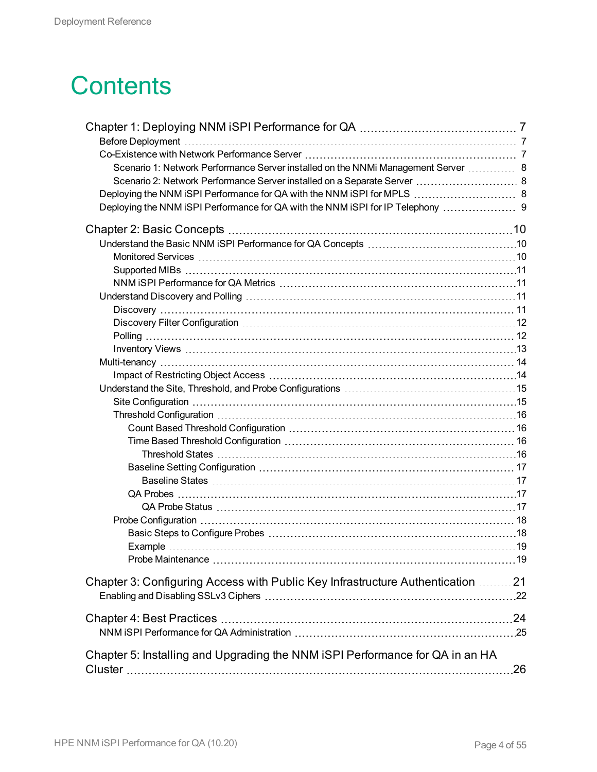# **Contents**

| Scenario 1: Network Performance Server installed on the NNMi Management Server  8 |  |
|-----------------------------------------------------------------------------------|--|
| Scenario 2: Network Performance Server installed on a Separate Server  8          |  |
|                                                                                   |  |
| Deploying the NNM iSPI Performance for QA with the NNM iSPI for IP Telephony      |  |
|                                                                                   |  |
|                                                                                   |  |
|                                                                                   |  |
|                                                                                   |  |
|                                                                                   |  |
|                                                                                   |  |
|                                                                                   |  |
|                                                                                   |  |
|                                                                                   |  |
|                                                                                   |  |
|                                                                                   |  |
|                                                                                   |  |
|                                                                                   |  |
|                                                                                   |  |
|                                                                                   |  |
|                                                                                   |  |
|                                                                                   |  |
|                                                                                   |  |
|                                                                                   |  |
|                                                                                   |  |
|                                                                                   |  |
|                                                                                   |  |
|                                                                                   |  |
|                                                                                   |  |
|                                                                                   |  |
|                                                                                   |  |
|                                                                                   |  |
| Chapter 3: Configuring Access with Public Key Infrastructure Authentication  21   |  |
|                                                                                   |  |
|                                                                                   |  |
|                                                                                   |  |
|                                                                                   |  |
| Chapter 5: Installing and Upgrading the NNM iSPI Performance for QA in an HA      |  |
|                                                                                   |  |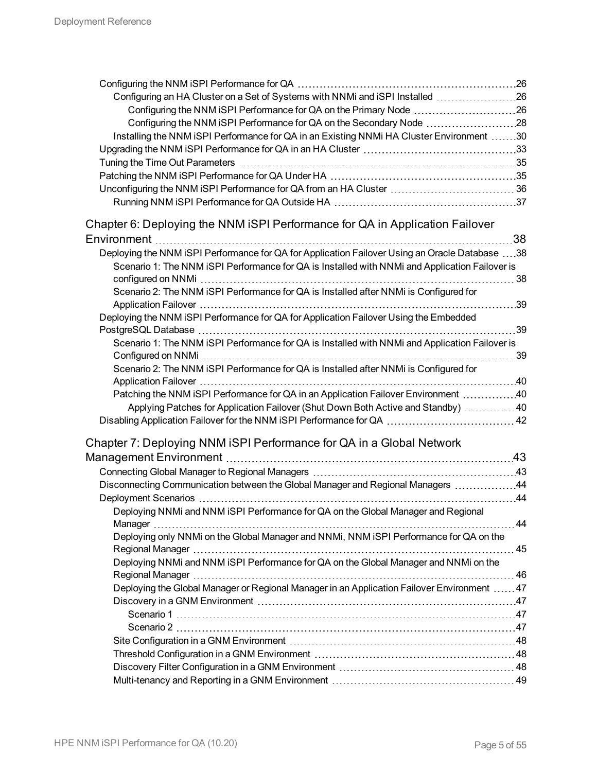| Configuring an HA Cluster on a Set of Systems with NNMi and iSPI Installed 26                  |     |
|------------------------------------------------------------------------------------------------|-----|
| Configuring the NNM iSPI Performance for QA on the Primary Node 26                             |     |
| Configuring the NNM iSPI Performance for QA on the Secondary Node 28                           |     |
| Installing the NNM iSPI Performance for QA in an Existing NNMi HA Cluster Environment 30       |     |
|                                                                                                |     |
|                                                                                                |     |
|                                                                                                |     |
| Unconfiguring the NNM iSPI Performance for QA from an HA Cluster  36                           |     |
|                                                                                                |     |
| Chapter 6: Deploying the NNM iSPI Performance for QA in Application Failover                   |     |
|                                                                                                | 38  |
| Deploying the NNM iSPI Performance for QA for Application Failover Using an Oracle Database 38 |     |
| Scenario 1: The NNM iSPI Performance for QA is Installed with NNMi and Application Failover is |     |
|                                                                                                | 38  |
| Scenario 2: The NNM iSPI Performance for QA is Installed after NNMi is Configured for          |     |
|                                                                                                | .39 |
| Deploying the NNM iSPI Performance for QA for Application Failover Using the Embedded          |     |
|                                                                                                | 39  |
| Scenario 1: The NNM iSPI Performance for QA is Installed with NNMi and Application Failover is |     |
|                                                                                                | .39 |
| Scenario 2: The NNM iSPI Performance for QA is Installed after NNMi is Configured for          |     |
|                                                                                                |     |
| Patching the NNM iSPI Performance for QA in an Application Failover Environment 40             |     |
| Applying Patches for Application Failover (Shut Down Both Active and Standby)  40              |     |
|                                                                                                |     |
| Chapter 7: Deploying NNM iSPI Performance for QA in a Global Network                           |     |
|                                                                                                |     |
|                                                                                                |     |
| Disconnecting Communication between the Global Manager and Regional Managers 44                |     |
|                                                                                                |     |
| Deploying NNMi and NNM iSPI Performance for QA on the Global Manager and Regional              |     |
|                                                                                                | 44  |
| Deploying only NNMi on the Global Manager and NNMi, NNM iSPI Performance for QA on the         |     |
|                                                                                                |     |
| Deploying NNMi and NNM iSPI Performance for QA on the Global Manager and NNMi on the           |     |
|                                                                                                |     |
| Deploying the Global Manager or Regional Manager in an Application Failover Environment  47    |     |
|                                                                                                |     |
|                                                                                                |     |
|                                                                                                |     |
|                                                                                                |     |
|                                                                                                |     |
|                                                                                                |     |
|                                                                                                |     |
|                                                                                                |     |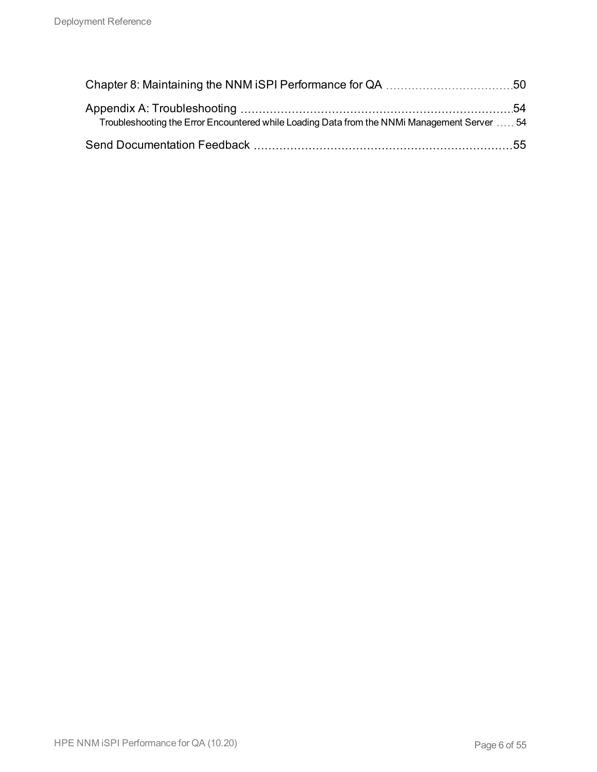| Troubleshooting the Error Encountered while Loading Data from the NNMi Management Server  54 |  |
|----------------------------------------------------------------------------------------------|--|
|                                                                                              |  |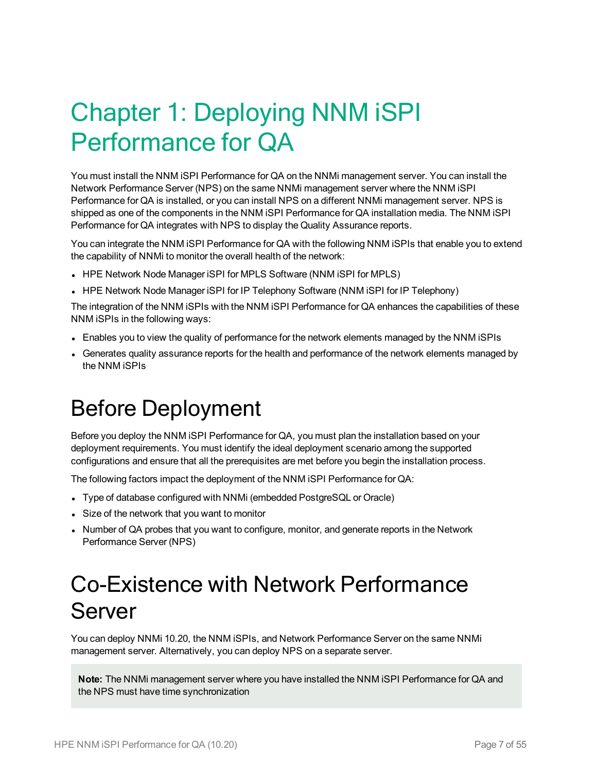# <span id="page-6-0"></span>Chapter 1: Deploying NNM iSPI Performance for QA

You must install the NNM iSPI Performance for QA on the NNMi management server. You can install the Network Performance Server (NPS) on the same NNMi management server where the NNM iSPI Performance for QA is installed, or you can install NPS on a different NNMi management server. NPS is shipped as one of the components in the NNM iSPI Performance for QA installation media. The NNM iSPI Performance for QA integrates with NPS to display the Quality Assurance reports.

You can integrate the NNM iSPI Performance for QA with the following NNM iSPIs that enable you to extend the capability of NNMi to monitor the overall health of the network:

- HPE Network Node Manager iSPI for MPLS Software (NNM iSPI for MPLS)
- HPE Network Node Manager iSPI for IP Telephony Software (NNM iSPI for IP Telephony)

The integration of the NNM iSPIs with the NNM iSPI Performance for QA enhances the capabilities of these NNM iSPIs in the following ways:

- Enables you to view the quality of performance for the network elements managed by the NNM iSPIs
- <span id="page-6-1"></span>• Generates quality assurance reports for the health and performance of the network elements managed by the NNM iSPIs

## Before Deployment

Before you deploy the NNM iSPI Performance for QA, you must plan the installation based on your deployment requirements. You must identify the ideal deployment scenario among the supported configurations and ensure that all the prerequisites are met before you begin the installation process.

The following factors impact the deployment of the NNM iSPI Performance for QA:

- Type of database configured with NNMi (embedded PostgreSQL or Oracle)
- Size of the network that you want to monitor
- <span id="page-6-2"></span>• Number of QA probes that you want to configure, monitor, and generate reports in the Network Performance Server (NPS)

## Co-Existence with Network Performance Server

You can deploy NNMi 10.20, the NNM iSPIs, and Network Performance Server on the same NNMi management server. Alternatively, you can deploy NPS on a separate server.

**Note:** The NNMi management server where you have installed the NNM iSPI Performance for QA and the NPS must have time synchronization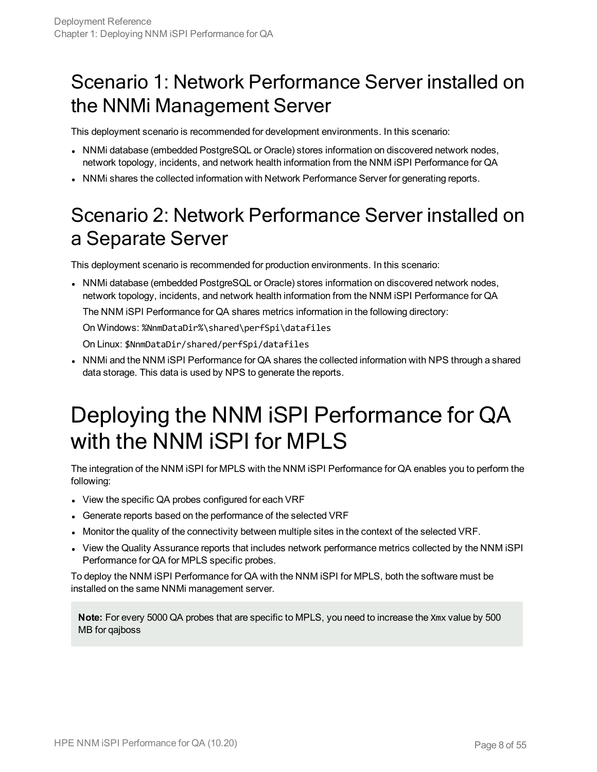### <span id="page-7-0"></span>Scenario 1: Network Performance Server installed on the NNMi Management Server

This deployment scenario is recommended for development environments. In this scenario:

- NNMi database (embedded PostgreSQL or Oracle) stores information on discovered network nodes, network topology, incidents, and network health information from the NNM iSPI Performance for QA
- <span id="page-7-1"></span>• NNMi shares the collected information with Network Performance Server for generating reports.

## Scenario 2: Network Performance Server installed on a Separate Server

This deployment scenario is recommended for production environments. In this scenario:

• NNMi database (embedded PostgreSQL or Oracle) stores information on discovered network nodes, network topology, incidents, and network health information from the NNM iSPI Performance for QA The NNM iSPI Performance for QA shares metrics information in the following directory:

On Windows: %NnmDataDir%\shared\perfSpi\datafiles

On Linux: \$NnmDataDir/shared/perfSpi/datafiles

<span id="page-7-2"></span>• NNMi and the NNM iSPI Performance for QA shares the collected information with NPS through a shared data storage. This data is used by NPS to generate the reports.

## Deploying the NNM iSPI Performance for QA with the NNM iSPI for MPLS

The integration of the NNM iSPI for MPLS with the NNM iSPI Performance for QA enables you to perform the following:

- View the specific QA probes configured for each VRF
- Generate reports based on the performance of the selected VRF
- Monitor the quality of the connectivity between multiple sites in the context of the selected VRF.
- View the Quality Assurance reports that includes network performance metrics collected by the NNM iSPI Performance for QA for MPLS specific probes.

To deploy the NNM iSPI Performance for QA with the NNM iSPI for MPLS, both the software must be installed on the same NNMi management server.

**Note:** For every 5000 QA probes that are specific to MPLS, you need to increase the Xmx value by 500 MB for qajboss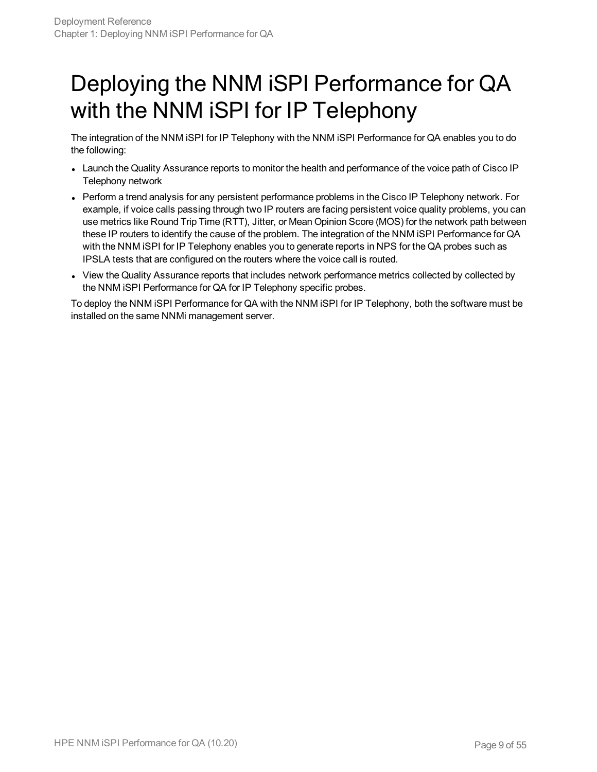## <span id="page-8-0"></span>Deploying the NNM iSPI Performance for QA with the NNM iSPI for IP Telephony

The integration of the NNM iSPI for IP Telephony with the NNM iSPI Performance for QA enables you to do the following:

- Launch the Quality Assurance reports to monitor the health and performance of the voice path of Cisco IP Telephony network
- Perform a trend analysis for any persistent performance problems in the Cisco IP Telephony network. For example, if voice calls passing through two IP routers are facing persistent voice quality problems, you can use metrics like Round Trip Time (RTT), Jitter, or Mean Opinion Score (MOS) for the network path between these IP routers to identify the cause of the problem. The integration of the NNM iSPI Performance for QA with the NNM iSPI for IP Telephony enables you to generate reports in NPS for the QA probes such as IPSLA tests that are configured on the routers where the voice call is routed.
- View the Quality Assurance reports that includes network performance metrics collected by collected by the NNM iSPI Performance for QA for IP Telephony specific probes.

To deploy the NNM iSPI Performance for QA with the NNM iSPI for IP Telephony, both the software must be installed on the same NNMi management server.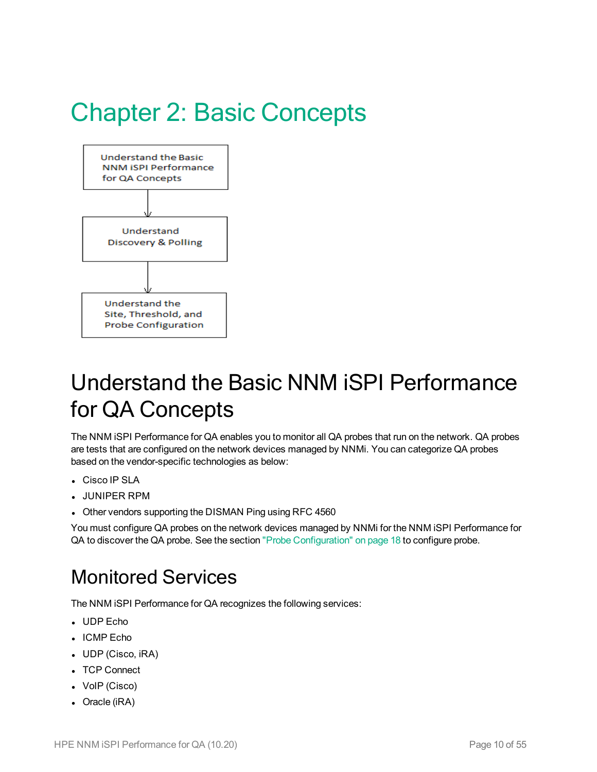# <span id="page-9-0"></span>Chapter 2: Basic Concepts



## <span id="page-9-1"></span>Understand the Basic NNM iSPI Performance for QA Concepts

The NNM iSPI Performance for QA enables you to monitor all QA probes that run on the network. QA probes are tests that are configured on the network devices managed by NNMi. You can categorize QA probes based on the vendor-specific technologies as below:

- Cisco IP SLA
- <sup>l</sup> JUNIPER RPM
- Other vendors supporting the DISMAN Ping using RFC 4560

<span id="page-9-2"></span>You must configure QA probes on the network devices managed by NNMi for the NNM iSPI Performance for QA to discover the QA probe. See the section "Probe [Configuration"](#page-17-0) on page 18 to configure probe.

### Monitored Services

The NNM iSPI Performance for QA recognizes the following services:

- UDP Echo
- ICMP Echo
- UDP (Cisco, iRA)
- TCP Connect
- VoIP (Cisco)
- $\bullet$  Oracle (iRA)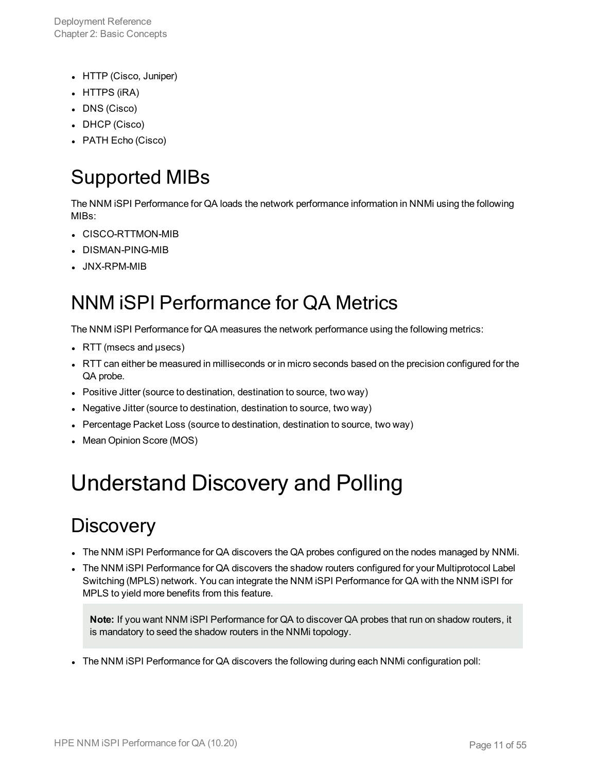Deployment Reference Chapter 2: Basic Concepts

- HTTP (Cisco, Juniper)
- $\bullet$  HTTPS (iRA)
- DNS (Cisco)
- DHCP (Cisco)
- <span id="page-10-0"></span>• PATH Echo (Cisco)

## Supported MIBs

The NNM iSPI Performance for QA loads the network performance information in NNMi using the following MIBs:

- CISCO-RTTMON-MIB
- . DISMAN-PING-MIB
- <span id="page-10-1"></span>**.** JNX-RPM-MIB

## NNM iSPI Performance for QA Metrics

The NNM iSPI Performance for QA measures the network performance using the following metrics:

- $\cdot$  RTT (msecs and  $\mu$ secs)
- RTT can either be measured in milliseconds or in micro seconds based on the precision configured for the QA probe.
- Positive Jitter (source to destination, destination to source, two way)
- Negative Jitter (source to destination, destination to source, two way)
- Percentage Packet Loss (source to destination, destination to source, two way)
- <span id="page-10-2"></span>• Mean Opinion Score (MOS)

# <span id="page-10-3"></span>Understand Discovery and Polling

### **Discovery**

- The NNM ISPI Performance for QA discovers the QA probes configured on the nodes managed by NNMi.
- The NNM ISPI Performance for QA discovers the shadow routers configured for your Multiprotocol Label Switching (MPLS) network. You can integrate the NNM iSPI Performance for QA with the NNM iSPI for MPLS to yield more benefits from this feature.

**Note:** If you want NNM iSPI Performance for QA to discover QA probes that run on shadow routers, it is mandatory to seed the shadow routers in the NNMi topology.

• The NNM iSPI Performance for QA discovers the following during each NNMi configuration poll: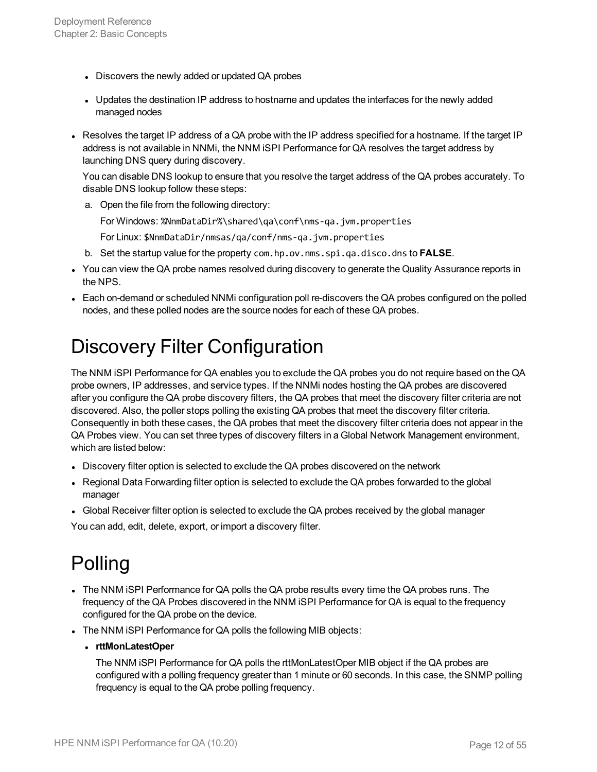- Discovers the newly added or updated QA probes
- Updates the destination IP address to hostname and updates the interfaces for the newly added managed nodes
- Resolves the target IP address of a QA probe with the IP address specified for a hostname. If the target IP address is not available in NNMi, the NNM iSPI Performance for QA resolves the target address by launching DNS query during discovery.

You can disable DNS lookup to ensure that you resolve the target address of the QA probes accurately. To disable DNS lookup follow these steps:

a. Open the file from the following directory:

For Windows: %NnmDataDir%\shared\qa\conf\nms-qa.jvm.properties

For Linux: \$NnmDataDir/nmsas/qa/conf/nms-qa.jvm.properties

- b. Set the startup value for the property com.hp.ov.nms.spi.qa.disco.dns to **FALSE**.
- You can view the QA probe names resolved during discovery to generate the Quality Assurance reports in the NPS.
- <span id="page-11-0"></span>• Each on-demand or scheduled NNMi configuration poll re-discovers the QA probes configured on the polled nodes, and these polled nodes are the source nodes for each of these QA probes.

### Discovery Filter Configuration

The NNM iSPI Performance for QA enables you to exclude the QA probes you do not require based on the QA probe owners, IP addresses, and service types. If the NNMi nodes hosting the QA probes are discovered after you configure the QA probe discovery filters, the QA probes that meet the discovery filter criteria are not discovered. Also, the poller stops polling the existing QA probes that meet the discovery filter criteria. Consequently in both these cases, the QA probes that meet the discovery filter criteria does not appear in the QA Probes view. You can set three types of discovery filters in a Global Network Management environment, which are listed below:

- Discovery filter option is selected to exclude the QA probes discovered on the network
- Regional Data Forwarding filter option is selected to exclude the QA probes forwarded to the global manager
- Global Receiver filter option is selected to exclude the QA probes received by the global manager

<span id="page-11-1"></span>You can add, edit, delete, export, or import a discovery filter.

## Polling

- The NNM ISPI Performance for QA polls the QA probe results every time the QA probes runs. The frequency of the QA Probes discovered in the NNM iSPI Performance for QA is equal to the frequency configured for the QA probe on the device.
- The NNM iSPI Performance for QA polls the following MIB objects:
	- <sup>l</sup> **rttMonLatestOper**

The NNM iSPI Performance for QA polls the rttMonLatestOper MIB object if the QA probes are configured with a polling frequency greater than 1 minute or 60 seconds. In this case, the SNMP polling frequency is equal to the QA probe polling frequency.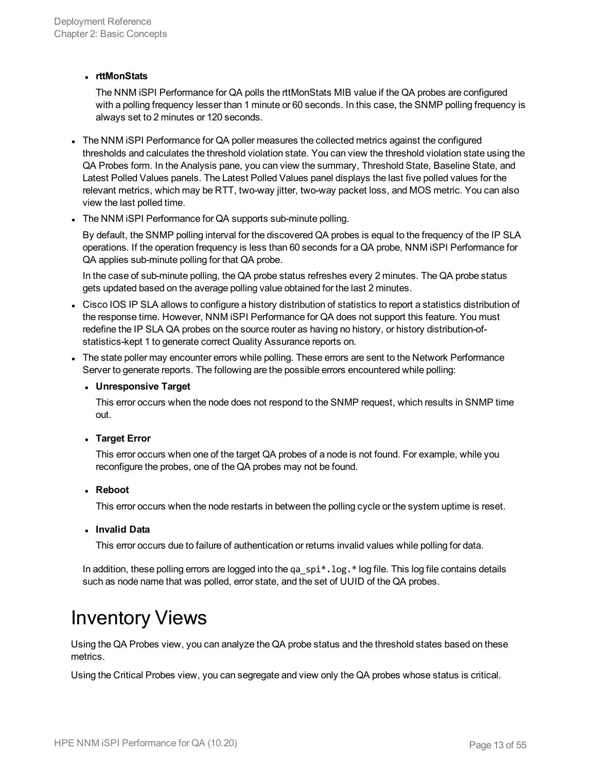#### <sup>l</sup> **rttMonStats**

The NNM iSPI Performance for QA polls the rttMonStats MIB value if the QA probes are configured with a polling frequency lesser than 1 minute or 60 seconds. In this case, the SNMP polling frequency is always set to 2 minutes or 120 seconds.

- The NNM iSPI Performance for QA poller measures the collected metrics against the configured thresholds and calculates the threshold violation state. You can view the threshold violation state using the QA Probes form. In the Analysis pane, you can view the summary, Threshold State, Baseline State, and Latest Polled Values panels. The Latest Polled Values panel displays the last five polled values for the relevant metrics, which may be RTT, two-way jitter, two-way packet loss, and MOS metric. You can also view the last polled time.
- The NNM iSPI Performance for QA supports sub-minute polling.

By default, the SNMP polling interval for the discovered QA probes is equal to the frequency of the IP SLA operations. If the operation frequency is less than 60 seconds for a QA probe, NNM iSPI Performance for QA applies sub-minute polling for that QA probe.

In the case of sub-minute polling, the QA probe status refreshes every 2 minutes. The QA probe status gets updated based on the average polling value obtained for the last 2 minutes.

- Cisco IOS IP SLA allows to configure a history distribution of statistics to report a statistics distribution of the response time. However, NNM iSPI Performance for QA does not support this feature. You must redefine the IP SLA QA probes on the source router as having no history, or history distribution-ofstatistics-kept 1 to generate correct Quality Assurance reports on.
- The state poller may encounter errors while polling. These errors are sent to the Network Performance Server to generate reports. The following are the possible errors encountered while polling:

#### <sup>l</sup> **Unresponsive Target**

This error occurs when the node does not respond to the SNMP request, which results in SNMP time out.

#### <sup>l</sup> **Target Error**

This error occurs when one of the target QA probes of a node is not found. For example, while you reconfigure the probes, one of the QA probes may not be found.

#### <sup>l</sup> **Reboot**

This error occurs when the node restarts in between the polling cycle or the system uptime is reset.

#### <sup>l</sup> **Invalid Data**

This error occurs due to failure of authentication or returns invalid values while polling for data.

<span id="page-12-0"></span>In addition, these polling errors are logged into the qa  $\text{sni}^*$ . log.\* log file. This log file contains details such as node name that was polled, error state, and the set of UUID of the QA probes.

### Inventory Views

Using the QA Probes view, you can analyze the QA probe status and the threshold states based on these metrics.

Using the Critical Probes view, you can segregate and view only the QA probes whose status is critical.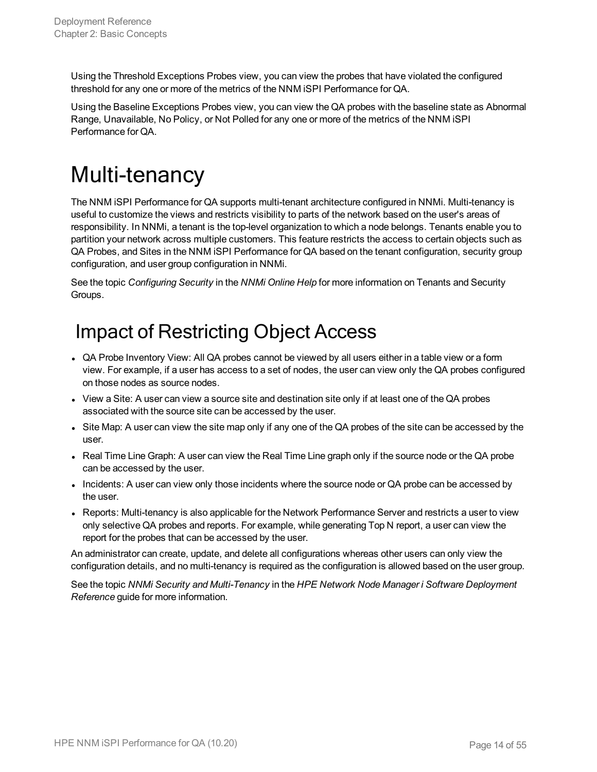Using the Threshold Exceptions Probes view, you can view the probes that have violated the configured threshold for any one or more of the metrics of the NNM iSPI Performance for QA.

Using the Baseline Exceptions Probes view, you can view the QA probes with the baseline state as Abnormal Range, Unavailable, No Policy, or Not Polled for any one or more of the metrics of the NNM iSPI Performance for QA.

# <span id="page-13-0"></span>Multi-tenancy

The NNM iSPI Performance for QA supports multi-tenant architecture configured in NNMi. Multi-tenancy is useful to customize the views and restricts visibility to parts of the network based on the user's areas of responsibility. In NNMi, a tenant is the top-level organization to which a node belongs. Tenants enable you to partition your network across multiple customers. This feature restricts the access to certain objects such as QA Probes, and Sites in the NNM iSPI Performance for QA based on the tenant configuration, security group configuration, and user group configuration in NNMi.

<span id="page-13-1"></span>See the topic *Configuring Security* in the *NNMi Online Help* for more information on Tenants and Security Groups.

## Impact of Restricting Object Access

- QA Probe Inventory View: All QA probes cannot be viewed by all users either in a table view or a form view. For example, if a user has access to a set of nodes, the user can view only the QA probes configured on those nodes as source nodes.
- View a Site: A user can view a source site and destination site only if at least one of the QA probes associated with the source site can be accessed by the user.
- Site Map: A user can view the site map only if any one of the QA probes of the site can be accessed by the user.
- Real Time Line Graph: A user can view the Real Time Line graph only if the source node or the QA probe can be accessed by the user.
- Incidents: A user can view only those incidents where the source node or QA probe can be accessed by the user.
- Reports: Multi-tenancy is also applicable for the Network Performance Server and restricts a user to view only selective QA probes and reports. For example, while generating Top N report, a user can view the report for the probes that can be accessed by the user.

An administrator can create, update, and delete all configurations whereas other users can only view the configuration details, and no multi-tenancy is required as the configuration is allowed based on the user group.

See the topic *NNMi Security and Multi-Tenancy* in the *HPE Network Node Manager i Software Deployment Reference* guide for more information.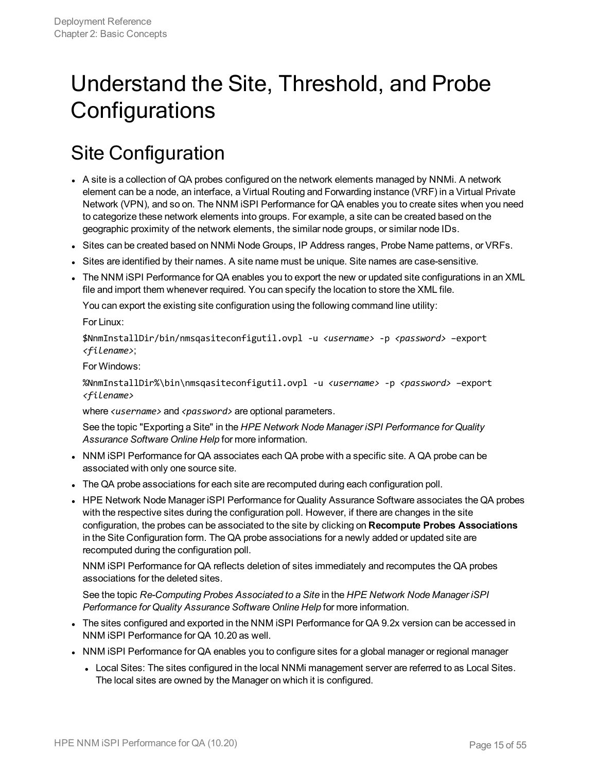## <span id="page-14-0"></span>Understand the Site, Threshold, and Probe **Configurations**

## <span id="page-14-1"></span>Site Configuration

- A site is a collection of QA probes configured on the network elements managed by NNMi. A network element can be a node, an interface, a Virtual Routing and Forwarding instance (VRF) in a Virtual Private Network (VPN), and so on. The NNM iSPI Performance for QA enables you to create sites when you need to categorize these network elements into groups. For example, a site can be created based on the geographic proximity of the network elements, the similar node groups, or similar node IDs.
- Sites can be created based on NNMi Node Groups, IP Address ranges, Probe Name patterns, or VRFs.
- <sup>l</sup> Sites are identified by their names. A site name must be unique. Site names are case-sensitive.
- The NNM ISPI Performance for QA enables you to export the new or updated site configurations in an XML file and import them whenever required. You can specify the location to store the XML file.

You can export the existing site configuration using the following command line utility:

For Linux:

\$NnmInstallDir/bin/nmsqasiteconfigutil.ovpl -u *<username>* -p *<password>* –export *<filename>*;

For Windows:

%NnmInstallDir%\bin\nmsqasiteconfigutil.ovpl -u *<username>* -p *<password>* –export *<filename>*

where *<username>* and *<password>* are optional parameters.

See the topic "Exporting a Site" in the *HPE Network Node Manager iSPI Performance for Quality Assurance Software Online Help* for more information.

- NNM iSPI Performance for QA associates each QA probe with a specific site. A QA probe can be associated with only one source site.
- The QA probe associations for each site are recomputed during each configuration poll.
- HPE Network Node Manager iSPI Performance for Quality Assurance Software associates the QA probes with the respective sites during the configuration poll. However, if there are changes in the site configuration, the probes can be associated to the site by clicking on **Recompute Probes Associations** in the Site Configuration form. The QA probe associations for a newly added or updated site are recomputed during the configuration poll.

NNM iSPI Performance for QA reflects deletion of sites immediately and recomputes the QA probes associations for the deleted sites.

See the topic *Re-Computing Probes Associated to a Site* in the *HPE Network Node Manager iSPI Performance for Quality Assurance Software Online Help* for more information.

- The sites configured and exported in the NNM iSPI Performance for QA 9.2x version can be accessed in NNM iSPI Performance for QA 10.20 as well.
- NNM ISPI Performance for QA enables you to configure sites for a global manager or regional manager
	- Local Sites: The sites configured in the local NNMi management server are referred to as Local Sites. The local sites are owned by the Manager on which it is configured.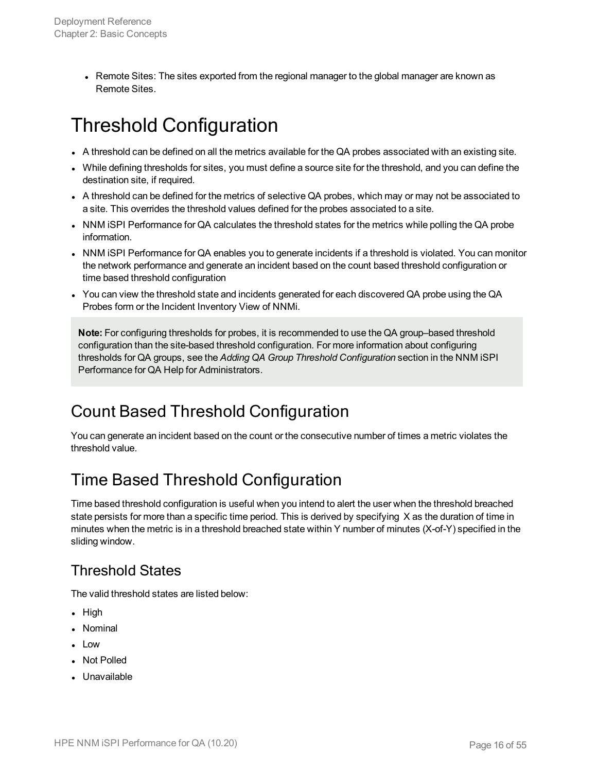• Remote Sites: The sites exported from the regional manager to the global manager are known as Remote Sites.

## <span id="page-15-0"></span>Threshold Configuration

- A threshold can be defined on all the metrics available for the QA probes associated with an existing site.
- While defining thresholds for sites, you must define a source site for the threshold, and you can define the destination site, if required.
- A threshold can be defined for the metrics of selective QA probes, which may or may not be associated to a site. This overrides the threshold values defined for the probes associated to a site.
- NNM iSPI Performance for QA calculates the threshold states for the metrics while polling the QA probe information.
- NNM ISPI Performance for QA enables you to generate incidents if a threshold is violated. You can monitor the network performance and generate an incident based on the count based threshold configuration or time based threshold configuration
- You can view the threshold state and incidents generated for each discovered QA probe using the QA Probes form or the Incident Inventory View of NNMi.

**Note:** For configuring thresholds for probes, it is recommended to use the QA group–based threshold configuration than the site-based threshold configuration. For more information about configuring thresholds for QA groups, see the *Adding QA Group Threshold Configuration* section in the NNM iSPI Performance for QA Help for Administrators.

### <span id="page-15-1"></span>Count Based Threshold Configuration

You can generate an incident based on the count or the consecutive number of times a metric violates the threshold value.

### <span id="page-15-2"></span>Time Based Threshold Configuration

Time based threshold configuration is useful when you intend to alert the user when the threshold breached state persists for more than a specific time period. This is derived by specifying X as the duration of time in minutes when the metric is in a threshold breached state within Y number of minutes (X-of-Y) specified in the sliding window.

#### <span id="page-15-3"></span>Threshold States

The valid threshold states are listed below:

- $\bullet$  High
- Nominal
- Low
- Not Polled
- Unavailable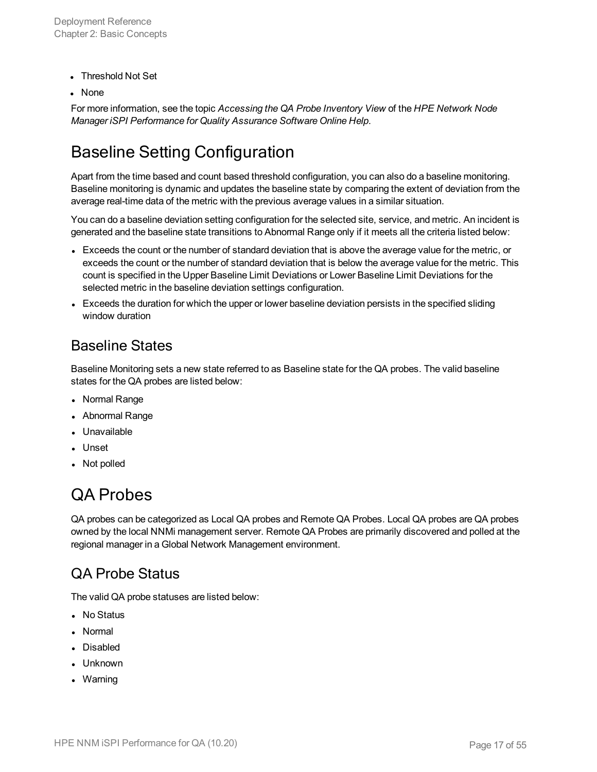- Threshold Not Set
- **None**

For more information, see the topic *Accessing the QA Probe Inventory View* of the *HPE Network Node Manager iSPI Performance for Quality Assurance Software Online Help*.

### <span id="page-16-0"></span>Baseline Setting Configuration

Apart from the time based and count based threshold configuration, you can also do a baseline monitoring. Baseline monitoring is dynamic and updates the baseline state by comparing the extent of deviation from the average real-time data of the metric with the previous average values in a similar situation.

You can do a baseline deviation setting configuration for the selected site, service, and metric. An incident is generated and the baseline state transitions to Abnormal Range only if it meets all the criteria listed below:

- Exceeds the count or the number of standard deviation that is above the average value for the metric, or exceeds the count or the number of standard deviation that is below the average value for the metric. This count is specified in the Upper Baseline Limit Deviations or Lower Baseline Limit Deviations for the selected metric in the baseline deviation settings configuration.
- Exceeds the duration for which the upper or lower baseline deviation persists in the specified sliding window duration

#### <span id="page-16-1"></span>Baseline States

Baseline Monitoring sets a new state referred to as Baseline state for the QA probes. The valid baseline states for the QA probes are listed below:

- Normal Range
- Abnormal Range
- Unavailable
- Unset
- <span id="page-16-2"></span>• Not polled

### QA Probes

QA probes can be categorized as Local QA probes and Remote QA Probes. Local QA probes are QA probes owned by the local NNMi management server. Remote QA Probes are primarily discovered and polled at the regional manager in a Global Network Management environment.

#### <span id="page-16-3"></span>QA Probe Status

The valid QA probe statuses are listed below:

- No Status
- Normal
- Disabled
- Unknown
- Warning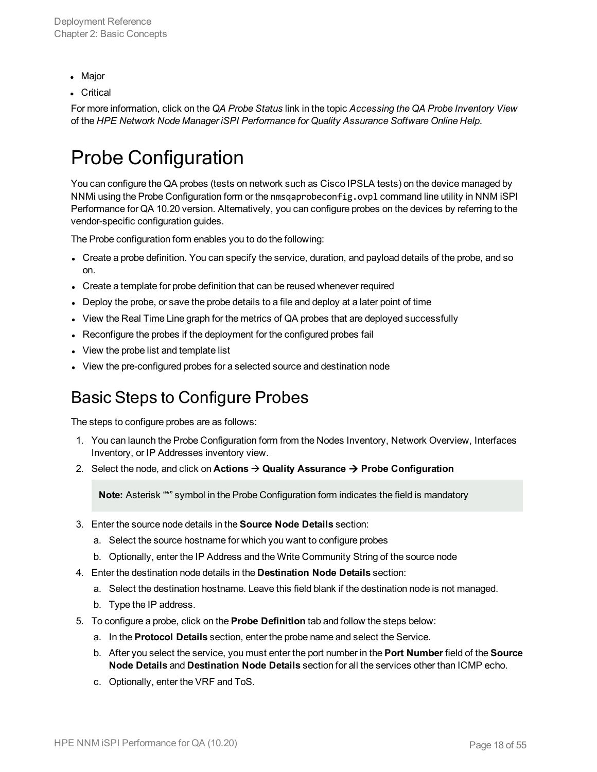- Major
- Critical

<span id="page-17-0"></span>For more information, click on the *QA Probe Status* link in the topic *Accessing the QA Probe Inventory View* of the *HPE Network Node Manager iSPI Performance for Quality Assurance Software Online Help*.

### Probe Configuration

You can configure the QA probes (tests on network such as Cisco IPSLA tests) on the device managed by NNMi using the Probe Configuration form or the nmsqaprobeconfig.ovpl command line utility in NNM iSPI Performance for QA 10.20 version. Alternatively, you can configure probes on the devices by referring to the vendor-specific configuration guides.

The Probe configuration form enables you to do the following:

- Create a probe definition. You can specify the service, duration, and payload details of the probe, and so on.
- Create a template for probe definition that can be reused whenever required
- Deploy the probe, or save the probe details to a file and deploy at a later point of time
- View the Real Time Line graph for the metrics of QA probes that are deployed successfully
- Reconfigure the probes if the deployment for the configured probes fail
- View the probe list and template list
- <span id="page-17-1"></span>• View the pre-configured probes for a selected source and destination node

#### Basic Steps to Configure Probes

The steps to configure probes are as follows:

- 1. You can launch the Probe Configuration form from the Nodes Inventory, Network Overview, Interfaces Inventory, or IP Addresses inventory view.
- 2. Select the node, and click on **Actions**  $\rightarrow$  **Quality Assurance**  $\rightarrow$  **Probe Configuration**

**Note:** Asterisk "\*" symbol in the Probe Configuration form indicates the field is mandatory

- 3. Enter the source node details in the **Source Node Details** section:
	- a. Select the source hostname for which you want to configure probes
	- b. Optionally, enter the IP Address and the Write Community String of the source node
- 4. Enter the destination node details in the **Destination Node Details** section:
	- a. Select the destination hostname. Leave this field blank if the destination node is not managed.
	- b. Type the IP address.
- 5. To configure a probe, click on the **Probe Definition** tab and follow the steps below:
	- a. In the **Protocol Details** section, enter the probe name and select the Service.
	- b. After you select the service, you must enter the port number in the **Port Number** field of the **Source Node Details** and **Destination Node Details** section for all the services other than ICMP echo.
	- c. Optionally, enter the VRF and ToS.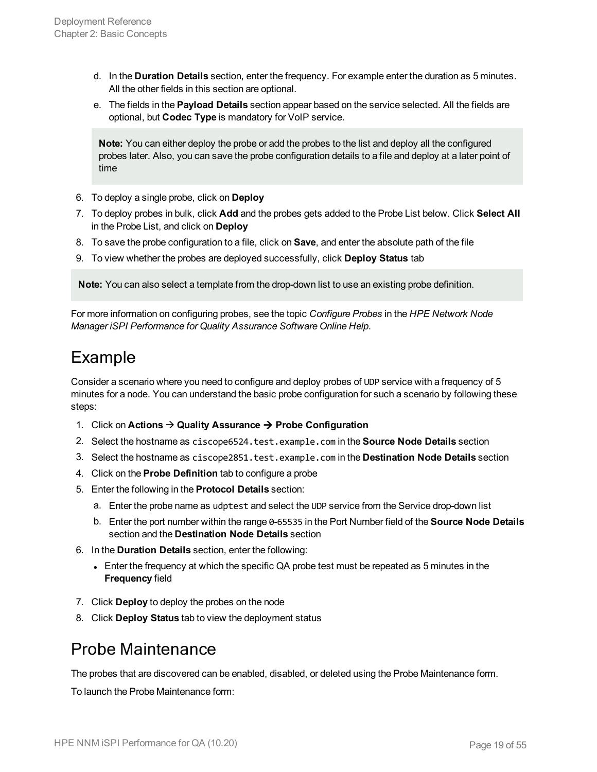- d. In the **Duration Details** section, enter the frequency. For example enter the duration as 5 minutes. All the other fields in this section are optional.
- e. The fields in the **Payload Details** section appear based on the service selected. All the fields are optional, but **Codec Type** is mandatory for VoIP service.

**Note:** You can either deploy the probe or add the probes to the list and deploy all the configured probes later. Also, you can save the probe configuration details to a file and deploy at a later point of time

- 6. To deploy a single probe, click on **Deploy**
- 7. To deploy probes in bulk, click **Add** and the probes gets added to the Probe List below. Click **Select All** in the Probe List, and click on **Deploy**
- 8. To save the probe configuration to a file, click on **Save**, and enter the absolute path of the file
- 9. To view whether the probes are deployed successfully, click **Deploy Status** tab

**Note:** You can also select a template from the drop-down list to use an existing probe definition.

<span id="page-18-0"></span>For more information on configuring probes, see the topic *Configure Probes* in the *HPE Network Node Manager iSPI Performance for Quality Assurance Software Online Help*.

#### Example

Consider a scenario where you need to configure and deploy probes of UDP service with a frequency of 5 minutes for a node. You can understand the basic probe configuration for such a scenario by following these steps:

- 1. Click on **Actions** à **Quality Assurance** à **Probe Configuration**
- 2. Select the hostname as ciscope6524.test.example.com in the **Source Node Details** section
- 3. Select the hostname as ciscope2851.test.example.com in the **Destination Node Details** section
- 4. Click on the **Probe Definition** tab to configure a probe
- 5. Enter the following in the **Protocol Details** section:
	- a. Enter the probe name as udptest and select the UDP service from the Service drop-down list
	- b. Enter the port number within the range 0-65535 in the Port Number field of the **Source Node Details** section and the **Destination Node Details** section
- 6. In the **Duration Details** section, enter the following:
	- Enter the frequency at which the specific QA probe test must be repeated as 5 minutes in the **Frequency** field
- 7. Click **Deploy** to deploy the probes on the node
- <span id="page-18-1"></span>8. Click **Deploy Status** tab to view the deployment status

#### Probe Maintenance

The probes that are discovered can be enabled, disabled, or deleted using the Probe Maintenance form.

To launch the Probe Maintenance form: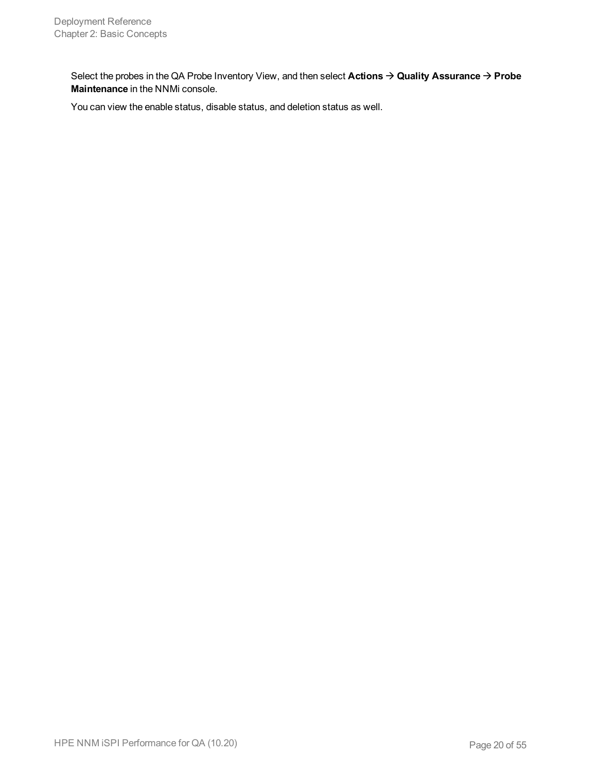Select the probes in the QA Probe Inventory View, and then select **Actions** à **Quality Assurance** à **Probe Maintenance** in the NNMi console.

You can view the enable status, disable status, and deletion status as well.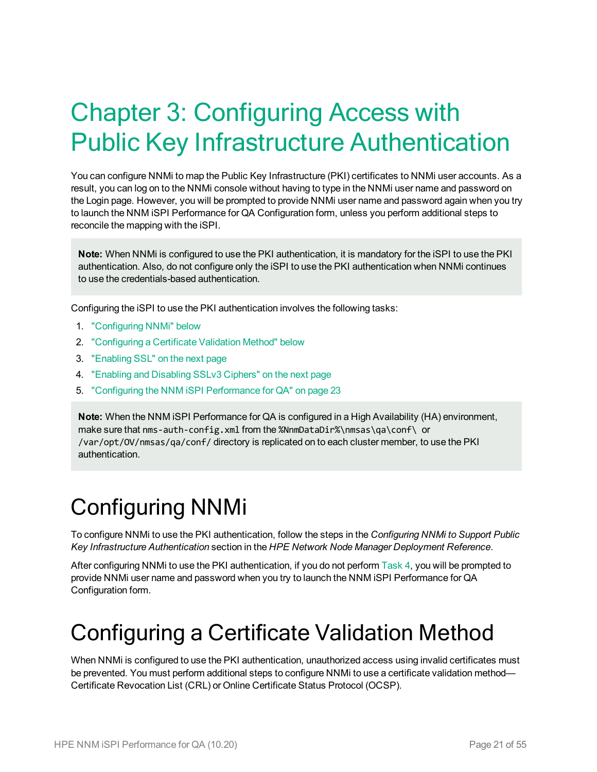# <span id="page-20-0"></span>Chapter 3: Configuring Access with Public Key Infrastructure Authentication

You can configure NNMi to map the Public Key Infrastructure (PKI) certificates to NNMi user accounts. As a result, you can log on to the NNMi console without having to type in the NNMi user name and password on the Login page. However, you will be prompted to provide NNMi user name and password again when you try to launch the NNM iSPI Performance for QA Configuration form, unless you perform additional steps to reconcile the mapping with the iSPI.

**Note:** When NNMi is configured to use the PKI authentication, it is mandatory for the iSPI to use the PKI authentication. Also, do not configure only the iSPI to use the PKI authentication when NNMi continues to use the credentials-based authentication.

Configuring the iSPI to use the PKI authentication involves the following tasks:

- 1. ["Configuring](#page-20-1) NNMi" below
- 2. ["Configuring](#page-20-2) a Certificate Validation Method" below
- 3. ["Enabling](#page-21-1) SSL" on the next page
- 4. ["Enabling](#page-21-0) and Disabling SSLv3 Ciphers" on the next page
- 5. "Configuring the NNM iSPI [Performance](#page-22-0) for QA" on page 23

**Note:** When the NNM iSPI Performance for QA is configured in a High Availability (HA) environment, make sure that nms-auth-config.xml from the %NnmDataDir%\nmsas\qa\conf\ or /var/opt/OV/nmsas/qa/conf/ directory is replicated on to each cluster member, to use the PKI authentication.

# <span id="page-20-1"></span>Configuring NNMi

To configure NNMi to use the PKI authentication, follow the steps in the *Configuring NNMi to Support Public Key Infrastructure Authentication* section in the *HPE Network Node Manager Deployment Reference*.

After configuring NNMi to use the PKI authentication, if you do not perform [Task 4,](#page-22-0) you will be prompted to provide NNMi user name and password when you try to launch the NNM iSPI Performance for QA Configuration form.

## <span id="page-20-2"></span>Configuring a Certificate Validation Method

When NNMi is configured to use the PKI authentication, unauthorized access using invalid certificates must be prevented. You must perform additional steps to configure NNMi to use a certificate validation method— Certificate Revocation List (CRL) or Online Certificate Status Protocol (OCSP).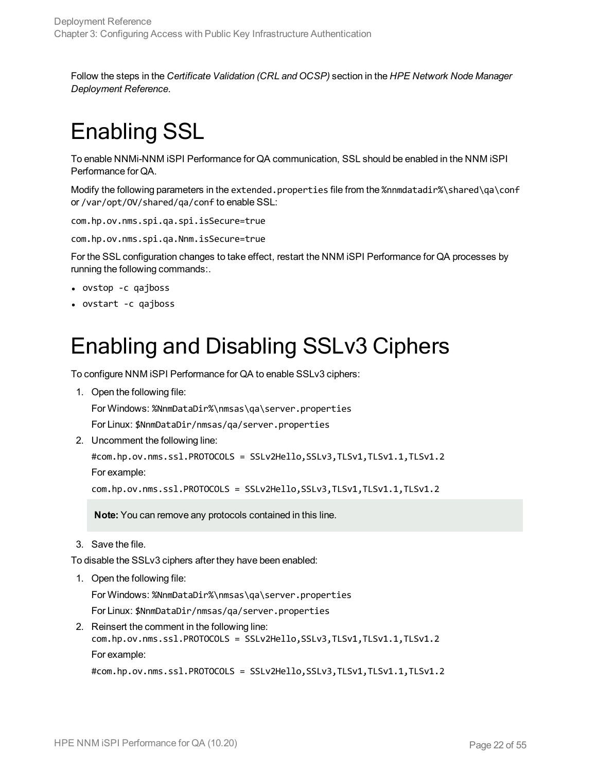<span id="page-21-1"></span>Follow the steps in the *Certificate Validation (CRL and OCSP)* section in the *HPE Network Node Manager Deployment Reference*.

# Enabling SSL

To enable NNMi-NNM iSPI Performance for QA communication, SSL should be enabled in the NNM iSPI Performance for QA.

Modify the following parameters in the extended.properties file from the %nnmdatadir%\shared\qa\conf or /var/opt/OV/shared/qa/conf to enable SSL:

com.hp.ov.nms.spi.qa.spi.isSecure=true

com.hp.ov.nms.spi.qa.Nnm.isSecure=true

For the SSL configuration changes to take effect, restart the NNM iSPI Performance for QA processes by running the following commands:.

- ovstop -c qajboss
- <span id="page-21-0"></span>• ovstart -c qajboss

## Enabling and Disabling SSLv3 Ciphers

To configure NNM iSPI Performance for QA to enable SSLv3 ciphers:

1. Open the following file:

For Windows: %NnmDataDir%\nmsas\qa\server.properties

For Linux: \$NnmDataDir/nmsas/qa/server.properties

2. Uncomment the following line:

```
#com.hp.ov.nms.ssl.PROTOCOLS = SSLv2Hello,SSLv3,TLSv1,TLSv1.1,TLSv1.2
For example:
```
com.hp.ov.nms.ssl.PROTOCOLS = SSLv2Hello,SSLv3,TLSv1,TLSv1.1,TLSv1.2

**Note:** You can remove any protocols contained in this line.

3. Save the file.

To disable the SSLv3 ciphers after they have been enabled:

1. Open the following file:

For Windows: %NnmDataDir%\nmsas\qa\server.properties

For Linux: \$NnmDataDir/nmsas/qa/server.properties

2. Reinsert the comment in the following line: com.hp.ov.nms.ssl.PROTOCOLS = SSLv2Hello,SSLv3,TLSv1,TLSv1.1,TLSv1.2 For example:

#com.hp.ov.nms.ssl.PROTOCOLS = SSLv2Hello,SSLv3,TLSv1,TLSv1.1,TLSv1.2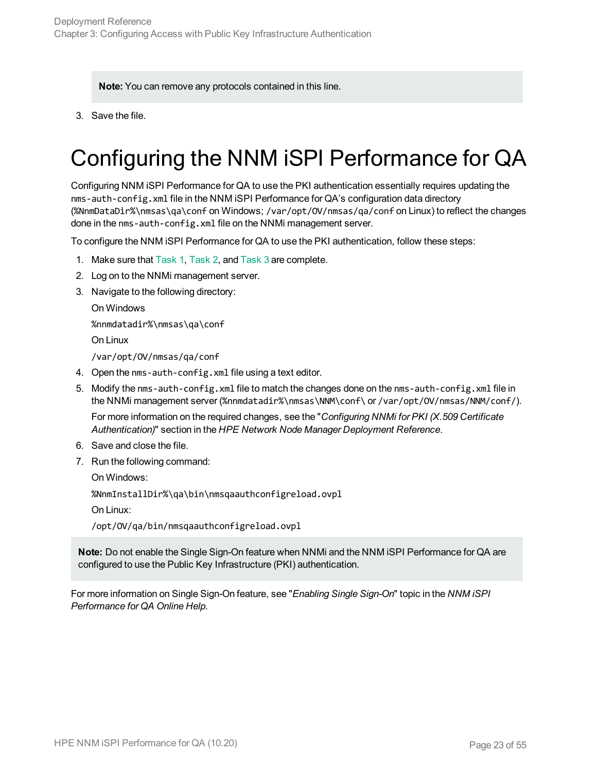**Note:** You can remove any protocols contained in this line.

<span id="page-22-0"></span>3. Save the file.

# Configuring the NNM iSPI Performance for QA

Configuring NNM iSPI Performance for QA to use the PKI authentication essentially requires updating the nms-auth-config.xml file in the NNM iSPI Performance for QA's configuration data directory (%NnmDataDir%\nmsas\qa\conf on Windows; /var/opt/OV/nmsas/qa/conf on Linux) to reflect the changes done in the nms-auth-config.xml file on the NNMi management server.

To configure the NNM iSPI Performance for QA to use the PKI authentication, follow these steps:

- 1. Make sure that [Task 1](#page-20-1), [Task 2,](#page-20-2) and [Task 3](#page-21-1) are complete.
- 2. Log on to the NNMi management server.
- 3. Navigate to the following directory:

On Windows

%nnmdatadir%\nmsas\qa\conf

On Linux

/var/opt/OV/nmsas/qa/conf

- 4. Open the nms-auth-config.xml file using a text editor.
- 5. Modify the nms-auth-config.xml file to match the changes done on the nms-auth-config.xml file in the NNMi management server (%nnmdatadir%\nmsas\NNM\conf\ or /var/opt/OV/nmsas/NNM/conf/).

For more information on the required changes, see the "*Configuring NNMi for PKI (X.509 Certificate Authentication)*" section in the *HPE Network Node Manager Deployment Reference*.

- 6. Save and close the file.
- 7. Run the following command:

On Windows:

%NnmInstallDir%\qa\bin\nmsqaauthconfigreload.ovpl

On Linux:

/opt/OV/qa/bin/nmsqaauthconfigreload.ovpl

**Note:** Do not enable the Single Sign-On feature when NNMi and the NNM iSPI Performance for QA are configured to use the Public Key Infrastructure (PKI) authentication.

For more information on Single Sign-On feature, see "*Enabling Single Sign-On*" topic in the *NNM iSPI Performance for QA Online Help.*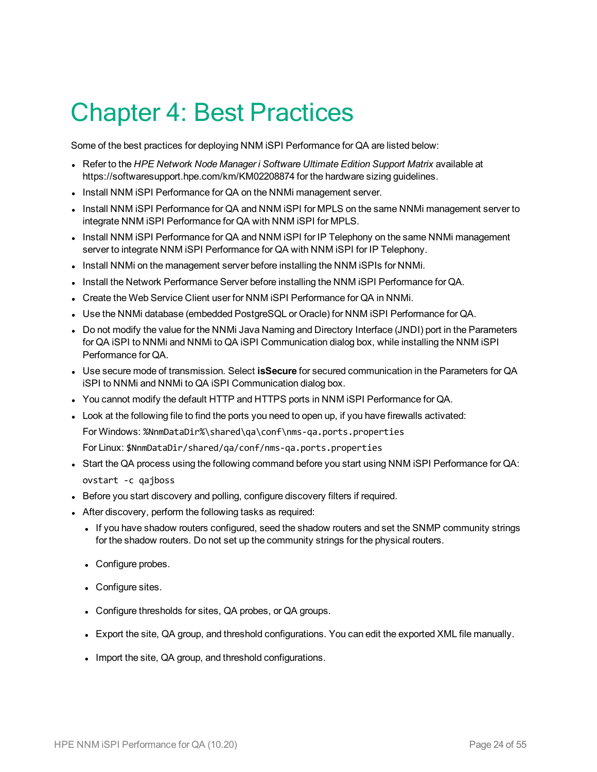# <span id="page-23-0"></span>Chapter 4: Best Practices

Some of the best practices for deploying NNM iSPI Performance for QA are listed below:

- <sup>l</sup> Refer to the *HPE Network Node Manager i Software Ultimate Edition Support Matrix* available at https://softwaresupport.hpe.com/km/KM02208874 for the hardware sizing guidelines.
- . Install NNM ISPI Performance for QA on the NNMi management server.
- Install NNM iSPI Performance for QA and NNM iSPI for MPLS on the same NNMi management server to integrate NNM iSPI Performance for QA with NNM iSPI for MPLS.
- Install NNM ISPI Performance for QA and NNM ISPI for IP Telephony on the same NNMI management server to integrate NNM iSPI Performance for QA with NNM iSPI for IP Telephony.
- Install NNMi on the management server before installing the NNM iSPIs for NNMi.
- Install the Network Performance Server before installing the NNM iSPI Performance for QA.
- Create the Web Service Client user for NNM ISPI Performance for QA in NNMI.
- Use the NNMi database (embedded PostgreSQL or Oracle) for NNM ISPI Performance for QA.
- Do not modify the value for the NNMi Java Naming and Directory Interface (JNDI) port in the Parameters for QA iSPI to NNMi and NNMi to QA iSPI Communication dialog box, while installing the NNM iSPI Performance for QA.
- **Use secure mode of transmission. Select isSecure** for secured communication in the Parameters for QA iSPI to NNMi and NNMi to QA iSPI Communication dialog box.
- You cannot modify the default HTTP and HTTPS ports in NNM iSPI Performance for QA.
- Look at the following file to find the ports you need to open up, if you have firewalls activated:
	- For Windows: %NnmDataDir%\shared\qa\conf\nms-qa.ports.properties
	- For Linux: \$NnmDataDir/shared/qa/conf/nms-qa.ports.properties
- Start the QA process using the following command before you start using NNM iSPI Performance for QA: ovstart -c qajboss
- Before you start discovery and polling, configure discovery filters if required.
- After discovery, perform the following tasks as required:
	- If you have shadow routers configured, seed the shadow routers and set the SNMP community strings for the shadow routers. Do not set up the community strings for the physical routers.
	- Configure probes.
	- Configure sites.
	- Configure thresholds for sites, QA probes, or QA groups.
	- Export the site, QA group, and threshold configurations. You can edit the exported XML file manually.
	- Import the site, QA group, and threshold configurations.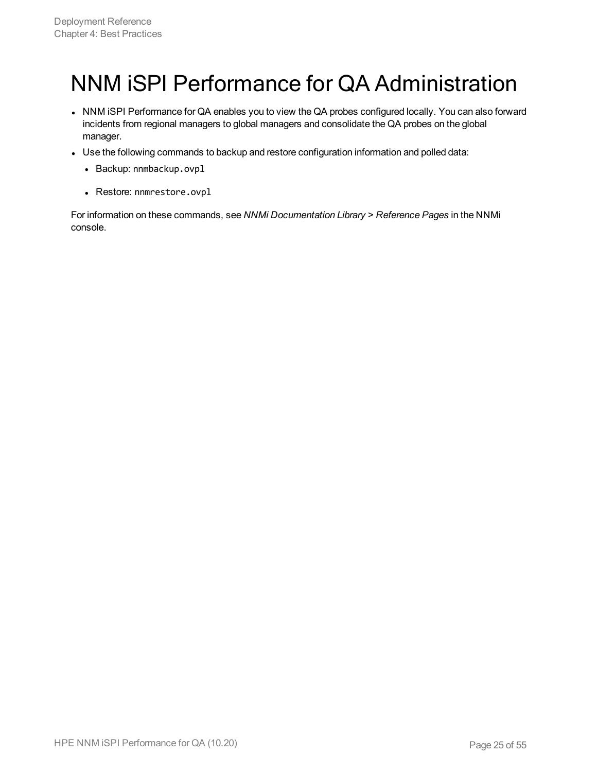# <span id="page-24-0"></span>NNM iSPI Performance for QA Administration

- NNM iSPI Performance for QA enables you to view the QA probes configured locally. You can also forward incidents from regional managers to global managers and consolidate the QA probes on the global manager.
- Use the following commands to backup and restore configuration information and polled data:
	- Backup: nnmbackup.ovpl
	- Restore: nnmrestore.ovpl

For information on these commands, see *NNMi Documentation Library > Reference Pages* in the NNMi console.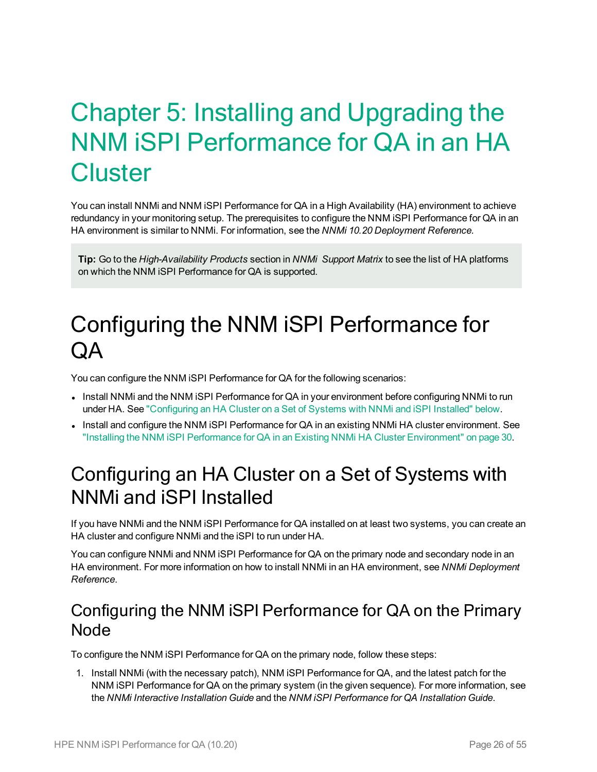# <span id="page-25-0"></span>Chapter 5: Installing and Upgrading the NNM iSPI Performance for QA in an HA **Cluster**

You can install NNMi and NNM iSPI Performance for QA in a High Availability (HA) environment to achieve redundancy in your monitoring setup. The prerequisites to configure the NNM iSPI Performance for QA in an HA environment is similar to NNMi. For information, see the *NNMi 10.20 Deployment Reference.*

**Tip:** Go to the *High-Availability Products* section in *NNMi Support Matrix* to see the list of HA platforms on which the NNM iSPI Performance for QA is supported.

## <span id="page-25-1"></span>Configuring the NNM iSPI Performance for  $\Omega$

You can configure the NNM iSPI Performance for QA for the following scenarios:

- Install NNMi and the NNM ISPI Performance for QA in your environment before configuring NNMi to run under HA. See ["Configuring](#page-25-2) an HA Cluster on a Set of Systems with NNMi and iSPI Installed" below.
- <span id="page-25-2"></span>• Install and configure the NNM iSPI Performance for QA in an existing NNMi HA cluster environment. See "Installing the NNM iSPI Performance for QA in an Existing NNMi HA Cluster [Environment"](#page-29-0) on page 30.

## Configuring an HA Cluster on a Set of Systems with NNMi and iSPI Installed

If you have NNMi and the NNM iSPI Performance for QA installed on at least two systems, you can create an HA cluster and configure NNMi and the iSPI to run under HA.

You can configure NNMi and NNM iSPI Performance for QA on the primary node and secondary node in an HA environment. For more information on how to install NNMi in an HA environment, see *NNMi Deployment Reference*.

#### <span id="page-25-3"></span>Configuring the NNM iSPI Performance for QA on the Primary **Node**

To configure the NNM iSPI Performance for QA on the primary node, follow these steps:

1. Install NNMi (with the necessary patch), NNM iSPI Performance for QA, and the latest patch for the NNM iSPI Performance for QA on the primary system (in the given sequence). For more information, see the *NNMi Interactive Installation Guide* and the *NNM iSPI Performance for QA Installation Guide*.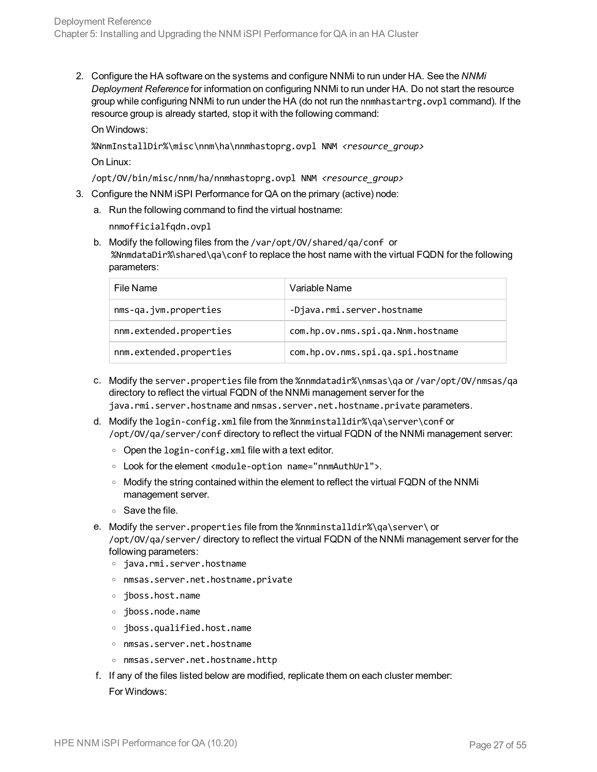2. Configure the HA software on the systems and configure NNMi to run under HA. See the *NNMi Deployment Reference* for information on configuring NNMi to run under HA. Do not start the resource group while configuring NNMi to run under the HA (do not run the nnmhastartrg.ovpl command). If the resource group is already started, stop it with the following command:

On Windows:

%NnmInstallDir%\misc\nnm\ha\nnmhastoprg.ovpl NNM *<resource\_group>*

On Linux:

/opt/OV/bin/misc/nnm/ha/nnmhastoprg.ovpl NNM *<resource\_group>*

- 3. Configure the NNM iSPI Performance for QA on the primary (active) node:
	- a. Run the following command to find the virtual hostname:

nnmofficialfqdn.ovpl

b. Modify the following files from the /var/opt/OV/shared/qa/conf or %NnmdataDir%\shared\qa\conf to replace the host name with the virtual FQDN for the following parameters:

| File Name               | Variable Name                     |
|-------------------------|-----------------------------------|
| nms-qa.jvm.properties   | -Djava.rmi.server.hostname        |
| nnm.extended.properties | com.hp.ov.nms.spi.qa.Nnm.hostname |
| nnm.extended.properties | com.hp.ov.nms.spi.qa.spi.hostname |

- c. Modify the server.properties file from the %nnmdatadir%\nmsas\qa or /var/opt/OV/nmsas/qa directory to reflect the virtual FQDN of the NNMi management server for the java.rmi.server.hostname and nmsas.server.net.hostname.private parameters.
- d. Modify the login-config.xml file from the %nnminstalldir%\qa\server\conf or /opt/OV/qa/server/conf directory to reflect the virtual FQDN of the NNMi management server:
	- $\circ$  Open the login-config. xml file with a text editor.
	- <sup>o</sup> Look for the element <module-option name="nnmAuthUrl">.
	- o Modify the string contained within the element to reflect the virtual FQDN of the NNMi management server.
	- <sup>o</sup> Save the file.
- e. Modify the server.properties file from the %nnminstalldir%\qa\server\ or /opt/OV/qa/server/ directory to reflect the virtual FQDN of the NNMi management server for the following parameters:
	- <sup>o</sup> java.rmi.server.hostname
	- <sup>o</sup> nmsas.server.net.hostname.private
	- <sup>o</sup> jboss.host.name
	- <sup>o</sup> jboss.node.name
	- <sup>o</sup> jboss.qualified.host.name
	- <sup>o</sup> nmsas.server.net.hostname
	- <sup>o</sup> nmsas.server.net.hostname.http
- f. If any of the files listed below are modified, replicate them on each cluster member: For Windows: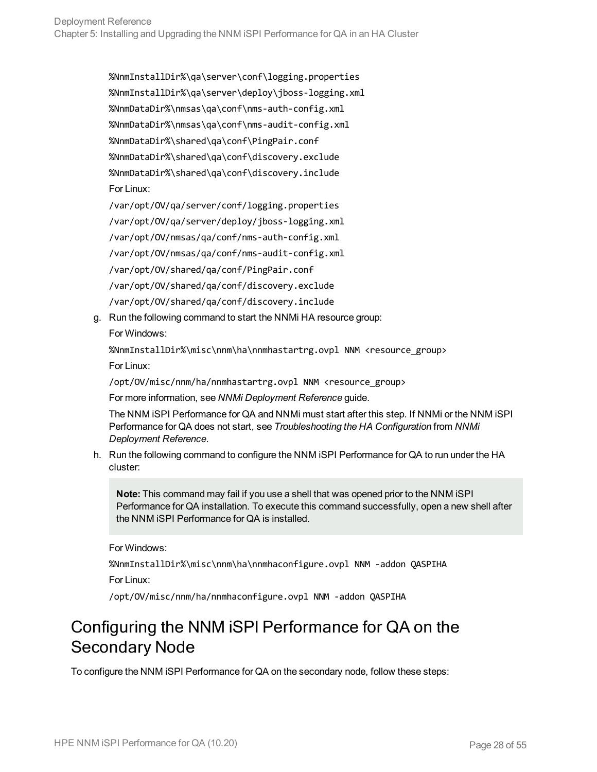%NnmInstallDir%\qa\server\conf\logging.properties %NnmInstallDir%\qa\server\deploy\jboss-logging.xml %NnmDataDir%\nmsas\qa\conf\nms-auth-config.xml %NnmDataDir%\nmsas\qa\conf\nms-audit-config.xml %NnmDataDir%\shared\qa\conf\PingPair.conf %NnmDataDir%\shared\qa\conf\discovery.exclude %NnmDataDir%\shared\qa\conf\discovery.include For Linux: /var/opt/OV/qa/server/conf/logging.properties

/var/opt/OV/qa/server/deploy/jboss-logging.xml /var/opt/OV/nmsas/qa/conf/nms-auth-config.xml /var/opt/OV/nmsas/qa/conf/nms-audit-config.xml /var/opt/OV/shared/qa/conf/PingPair.conf /var/opt/OV/shared/qa/conf/discovery.exclude /var/opt/OV/shared/qa/conf/discovery.include

g. Run the following command to start the NNMi HA resource group: For Windows:

%NnmInstallDir%\misc\nnm\ha\nnmhastartrg.ovpl NNM <resource\_group> For Linux:

/opt/OV/misc/nnm/ha/nnmhastartrg.ovpl NNM <resource\_group>

For more information, see *NNMi Deployment Reference* guide.

The NNM iSPI Performance for QA and NNMi must start after this step. If NNMi or the NNM iSPI Performance for QA does not start, see *Troubleshooting the HA Configuration* from *NNMi Deployment Reference*.

h. Run the following command to configure the NNM iSPI Performance for QA to run under the HA cluster:

**Note:** This command may fail if you use a shell that was opened prior to the NNM iSPI Performance for QA installation. To execute this command successfully, open a new shell after the NNM iSPI Performance for QA is installed.

For Windows:

%NnmInstallDir%\misc\nnm\ha\nnmhaconfigure.ovpl NNM -addon QASPIHA For Linux:

/opt/OV/misc/nnm/ha/nnmhaconfigure.ovpl NNM -addon QASPIHA

### <span id="page-27-0"></span>Configuring the NNM iSPI Performance for QA on the Secondary Node

To configure the NNM iSPI Performance for QA on the secondary node, follow these steps: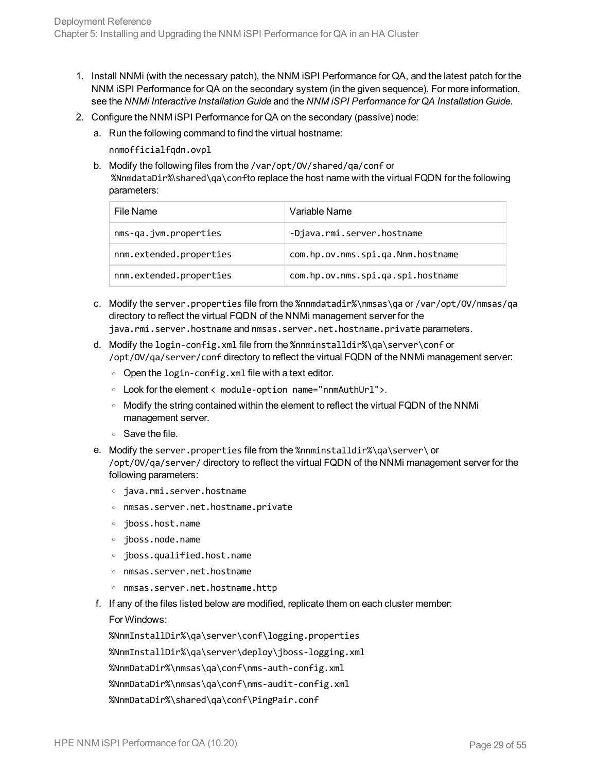- 1. Install NNMi (with the necessary patch), the NNM iSPI Performance for QA, and the latest patch for the NNM iSPI Performance for QA on the secondary system (in the given sequence). For more information, see the *NNMi Interactive Installation Guide* and the *NNM iSPI Performance for QA Installation Guide*.
- 2. Configure the NNM iSPI Performance for QA on the secondary (passive) node:
	- a. Run the following command to find the virtual hostname:

nnmofficialfqdn.ovpl

b. Modify the following files from the /var/opt/OV/shared/qa/conf or %NnmdataDir%\shared\qa\confto replace the host name with the virtual FQDN for the following parameters:

| File Name               | Variable Name                     |
|-------------------------|-----------------------------------|
| nms-qa.jvm.properties   | -Djava.rmi.server.hostname        |
| nnm.extended.properties | com.hp.ov.nms.spi.qa.Nnm.hostname |
| nnm.extended.properties | com.hp.ov.nms.spi.qa.spi.hostname |

- c. Modify the server.properties file from the %nnmdatadir%\nmsas\qa or /var/opt/OV/nmsas/qa directory to reflect the virtual FQDN of the NNMi management server for the java.rmi.server.hostname and nmsas.server.net.hostname.private parameters.
- d. Modify the login-config.xml file from the %nnminstalldir%\qa\server\conf or /opt/OV/qa/server/conf directory to reflect the virtual FQDN of the NNMi management server:
	- $\circ$  Open the login-config. xml file with a text editor.
	- <sup>o</sup> Look for the element < module-option name="nnmAuthUrl">.
	- <sup>o</sup> Modify the string contained within the element to reflect the virtual FQDN of the NNMi management server.
	- <sup>o</sup> Save the file.
- e. Modify the server.properties file from the %nnminstalldir%\qa\server\ or /opt/OV/qa/server/ directory to reflect the virtual FQDN of the NNMi management server for the following parameters:
	- <sup>o</sup> java.rmi.server.hostname
	- <sup>o</sup> nmsas.server.net.hostname.private
	- <sup>o</sup> jboss.host.name
	- <sup>o</sup> jboss.node.name
	- <sup>o</sup> jboss.qualified.host.name
	- <sup>o</sup> nmsas.server.net.hostname
	- <sup>o</sup> nmsas.server.net.hostname.http
- f. If any of the files listed below are modified, replicate them on each cluster member: For Windows:

%NnmInstallDir%\qa\server\conf\logging.properties %NnmInstallDir%\qa\server\deploy\jboss-logging.xml %NnmDataDir%\nmsas\qa\conf\nms-auth-config.xml %NnmDataDir%\nmsas\qa\conf\nms-audit-config.xml %NnmDataDir%\shared\qa\conf\PingPair.conf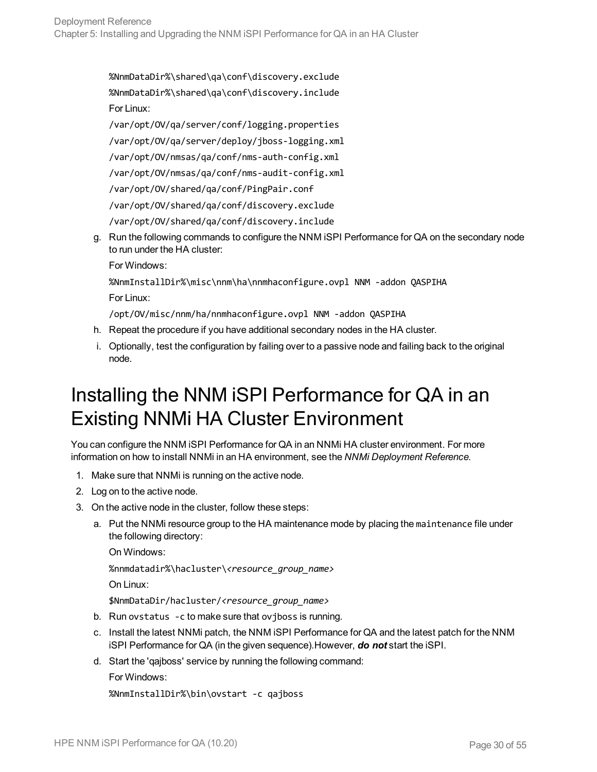%NnmDataDir%\shared\qa\conf\discovery.exclude %NnmDataDir%\shared\qa\conf\discovery.include For Linux:

/var/opt/OV/qa/server/conf/logging.properties /var/opt/OV/qa/server/deploy/jboss-logging.xml /var/opt/OV/nmsas/qa/conf/nms-auth-config.xml /var/opt/OV/nmsas/qa/conf/nms-audit-config.xml /var/opt/OV/shared/qa/conf/PingPair.conf /var/opt/OV/shared/qa/conf/discovery.exclude /var/opt/OV/shared/qa/conf/discovery.include

g. Run the following commands to configure the NNM iSPI Performance for QA on the secondary node to run under the HA cluster:

For Windows:

%NnmInstallDir%\misc\nnm\ha\nnmhaconfigure.ovpl NNM -addon QASPIHA For Linux:

/opt/OV/misc/nnm/ha/nnmhaconfigure.ovpl NNM -addon QASPIHA

- h. Repeat the procedure if you have additional secondary nodes in the HA cluster.
- i. Optionally, test the configuration by failing over to a passive node and failing back to the original node.

## <span id="page-29-0"></span>Installing the NNM iSPI Performance for QA in an Existing NNMi HA Cluster Environment

You can configure the NNM iSPI Performance for QA in an NNMi HA cluster environment. For more information on how to install NNMi in an HA environment, see the *NNMi Deployment Reference.*

- 1. Make sure that NNMi is running on the active node.
- 2. Log on to the active node.
- 3. On the active node in the cluster, follow these steps:
	- a. Put the NNMi resource group to the HA maintenance mode by placing the maintenance file under the following directory:

On Windows:

%nnmdatadir%\hacluster\*<resource\_group\_name>*

On Linux:

\$NnmDataDir/hacluster/*<resource\_group\_name>*

- b. Run ovstatus -c to make sure that ovjboss is running.
- c. Install the latest NNMi patch, the NNM iSPI Performance for QA and the latest patch for the NNM iSPI Performance for QA (in the given sequence).However, *do not* start the iSPI.
- d. Start the 'qajboss' service by running the following command:

For Windows:

```
%NnmInstallDir%\bin\ovstart -c qajboss
```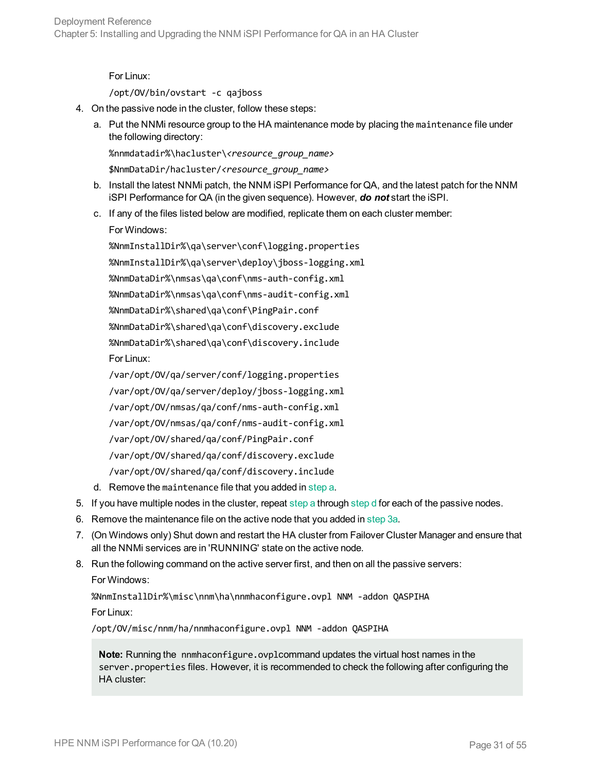For Linux:

<span id="page-30-0"></span>/opt/OV/bin/ovstart -c qajboss

- 4. On the passive node in the cluster, follow these steps:
	- a. Put the NNMi resource group to the HA maintenance mode by placing the maintenance file under the following directory:

%nnmdatadir%\hacluster\*<resource\_group\_name>*

\$NnmDataDir/hacluster/*<resource\_group\_name>*

- b. Install the latest NNMi patch, the NNM iSPI Performance for QA, and the latest patch for the NNM iSPI Performance for QA (in the given sequence). However, *do not* start the iSPI.
- c. If any of the files listed below are modified, replicate them on each cluster member:

For Windows:

%NnmInstallDir%\qa\server\conf\logging.properties

%NnmInstallDir%\qa\server\deploy\jboss-logging.xml

%NnmDataDir%\nmsas\qa\conf\nms-auth-config.xml

%NnmDataDir%\nmsas\qa\conf\nms-audit-config.xml

%NnmDataDir%\shared\qa\conf\PingPair.conf

%NnmDataDir%\shared\qa\conf\discovery.exclude

%NnmDataDir%\shared\qa\conf\discovery.include

For Linux:

/var/opt/OV/qa/server/conf/logging.properties /var/opt/OV/qa/server/deploy/jboss-logging.xml /var/opt/OV/nmsas/qa/conf/nms-auth-config.xml /var/opt/OV/nmsas/qa/conf/nms-audit-config.xml /var/opt/OV/shared/qa/conf/PingPair.conf /var/opt/OV/shared/qa/conf/discovery.exclude /var/opt/OV/shared/qa/conf/discovery.include

- <span id="page-30-1"></span>d. Remove the maintenance file that you added in [step a.](#page-30-0)
- 5. If you have multiple nodes in the cluster, repeat [step a](#page-30-0) through [step d](#page-30-1) for each of the passive nodes.
- 6. Remove the maintenance file on the active node that you added in [step](#page-34-1) 3a.
- 7. (On Windows only) Shut down and restart the HA cluster from Failover Cluster Manager and ensure that all the NNMi services are in 'RUNNING' state on the active node.
- 8. Run the following command on the active server first, and then on all the passive servers:

For Windows:

%NnmInstallDir%\misc\nnm\ha\nnmhaconfigure.ovpl NNM -addon QASPIHA For Linux:

/opt/OV/misc/nnm/ha/nnmhaconfigure.ovpl NNM -addon QASPIHA

**Note:** Running the nnmhaconfigure.ovplcommand updates the virtual host names in the server.properties files. However, it is recommended to check the following after configuring the HA cluster: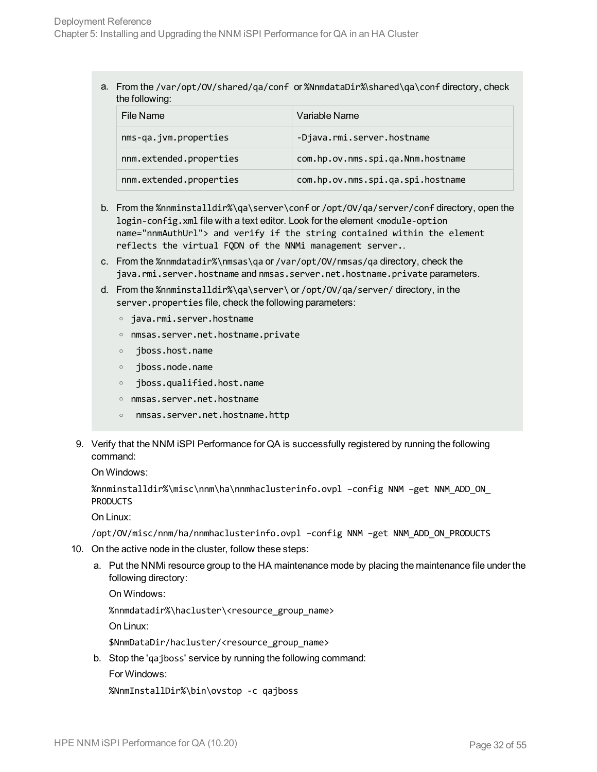a. From the /var/opt/OV/shared/qa/conf or %NnmdataDir%\shared\qa\conf directory, check the following:

| File Name               | Variable Name                     |
|-------------------------|-----------------------------------|
| nms-qa.jvm.properties   | -Djava.rmi.server.hostname        |
| nnm.extended.properties | com.hp.ov.nms.spi.qa.Nnm.hostname |
| nnm.extended.properties | com.hp.ov.nms.spi.qa.spi.hostname |

- b. From the %nnminstalldir%\qa\server\conf or /opt/OV/qa/server/conf directory, open the login-config.xml file with a text editor. Look for the element <module-option name="nnmAuthUrl"> and verify if the string contained within the element reflects the virtual FQDN of the NNMi management server..
- c. From the %nnmdatadir%\nmsas\qa or /var/opt/OV/nmsas/qa directory, check the java.rmi.server.hostname and nmsas.server.net.hostname.private parameters.
- d. From the %nnminstalldir%\qa\server\ or /opt/OV/qa/server/ directory, in the server.properties file, check the following parameters:
	- <sup>o</sup> java.rmi.server.hostname
	- <sup>o</sup> nmsas.server.net.hostname.private
	- <sup>o</sup> jboss.host.name
	- <sup>o</sup> jboss.node.name
	- <sup>o</sup> jboss.qualified.host.name
	- <sup>o</sup> nmsas.server.net.hostname
	- <sup>o</sup> nmsas.server.net.hostname.http
- 9. Verify that the NNM iSPI Performance for QA is successfully registered by running the following command:

On Windows:

```
%nnminstalldir%\misc\nnm\ha\nnmhaclusterinfo.ovpl –config NNM –get NNM_ADD_ON_
PRODUCTS
```
On Linux:

<span id="page-31-0"></span>/opt/OV/misc/nnm/ha/nnmhaclusterinfo.ovpl –config NNM –get NNM\_ADD\_ON\_PRODUCTS

- 10. On the active node in the cluster, follow these steps:
	- a. Put the NNMi resource group to the HA maintenance mode by placing the maintenance file under the following directory:

On Windows:

%nnmdatadir%\hacluster\<resource\_group\_name>

On Linux:

\$NnmDataDir/hacluster/<resource\_group\_name>

b. Stop the 'qajboss' service by running the following command:

For Windows:

%NnmInstallDir%\bin\ovstop -c qajboss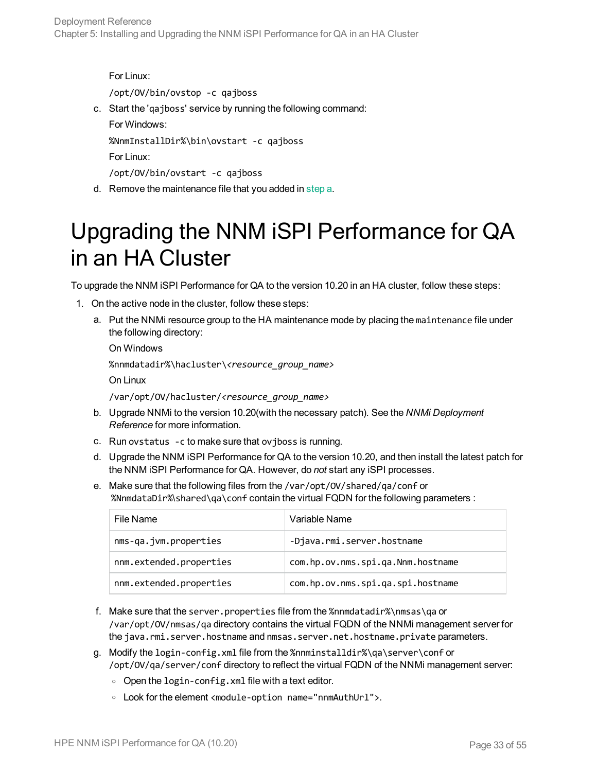```
For Linux:
   /opt/OV/bin/ovstop -c qajboss
c. Start the 'qajboss' service by running the following command:
   For Windows:
   %NnmInstallDir%\bin\ovstart -c qajboss
   For Linux:
   /opt/OV/bin/ovstart -c qajboss
```
#### <span id="page-32-0"></span>d. Remove the maintenance file that you added in [step](#page-31-0) a.

## Upgrading the NNM iSPI Performance for QA in an HA Cluster

To upgrade the NNM iSPI Performance for QA to the version 10.20 in an HA cluster, follow these steps:

- 1. On the active node in the cluster, follow these steps:
	- a. Put the NNMi resource group to the HA maintenance mode by placing the maintenance file under the following directory:

On Windows

%nnmdatadir%\hacluster\*<resource\_group\_name>*

On Linux

/var/opt/OV/hacluster/*<resource\_group\_name>*

- b. Upgrade NNMi to the version 10.20(with the necessary patch). See the *NNMi Deployment Reference* for more information.
- c. Run ovstatus -c to make sure that ovjboss is running.
- d. Upgrade the NNM iSPI Performance for QA to the version 10.20, and then install the latest patch for the NNM iSPI Performance for QA. However, do *not* start any iSPI processes.
- e. Make sure that the following files from the /var/opt/OV/shared/qa/conf or %NnmdataDir%\shared\qa\conf contain the virtual FQDN for the following parameters :

| File Name               | Variable Name                     |
|-------------------------|-----------------------------------|
| nms-qa.jvm.properties   | -Djava.rmi.server.hostname        |
| nnm.extended.properties | com.hp.ov.nms.spi.qa.Nnm.hostname |
| nnm.extended.properties | com.hp.ov.nms.spi.qa.spi.hostname |

- f. Make sure that the server.properties file from the %nnmdatadir%\nmsas\qa or /var/opt/OV/nmsas/qa directory contains the virtual FQDN of the NNMi management server for the java.rmi.server.hostname and nmsas.server.net.hostname.private parameters.
- g. Modify the login-config.xml file from the %nnminstalldir%\qa\server\conf or /opt/OV/qa/server/conf directory to reflect the virtual FQDN of the NNMi management server:
	- $\circ$  Open the login-config. xml file with a text editor.
	- <sup>o</sup> Look for the element <module-option name="nnmAuthUrl">.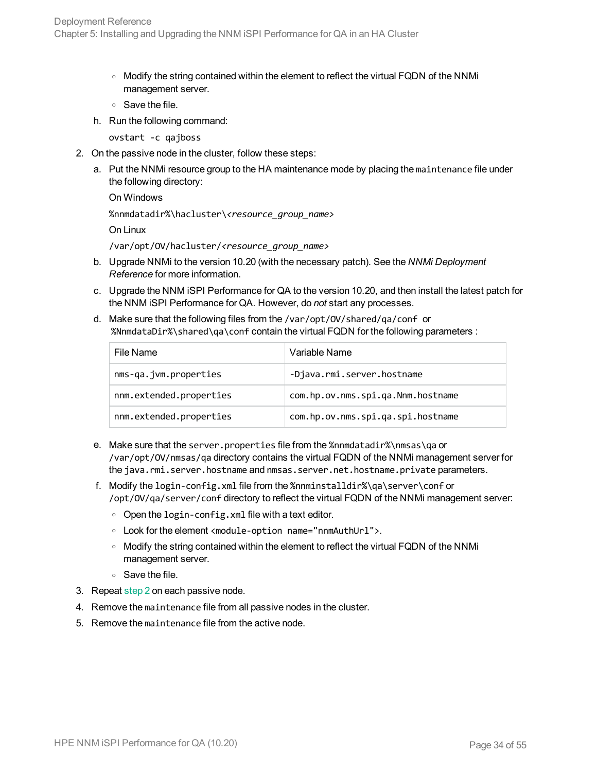- <sup>o</sup> Modify the string contained within the element to reflect the virtual FQDN of the NNMi management server.
- <sup>o</sup> Save the file.
- h. Run the following command:

<span id="page-33-0"></span>ovstart -c qajboss

- 2. On the passive node in the cluster, follow these steps:
	- a. Put the NNMi resource group to the HA maintenance mode by placing the maintenance file under the following directory:

```
On Windows
%nnmdatadir%\hacluster\<resource_group_name>
On Linux
/var/opt/OV/hacluster/<resource_group_name>
```
- b. Upgrade NNMi to the version 10.20 (with the necessary patch). See the *NNMi Deployment Reference* for more information.
- c. Upgrade the NNM iSPI Performance for QA to the version 10.20, and then install the latest patch for the NNM iSPI Performance for QA. However, do *not* start any processes.
- d. Make sure that the following files from the /var/opt/OV/shared/qa/conf or %NnmdataDir%\shared\qa\conf contain the virtual FQDN for the following parameters :

| File Name               | Variable Name                     |
|-------------------------|-----------------------------------|
| nms-qa.jvm.properties   | -Djava.rmi.server.hostname        |
| nnm.extended.properties | com.hp.ov.nms.spi.qa.Nnm.hostname |
| nnm.extended.properties | com.hp.ov.nms.spi.qa.spi.hostname |

- e. Make sure that the server.properties file from the %nnmdatadir%\nmsas\qa or /var/opt/OV/nmsas/qa directory contains the virtual FQDN of the NNMi management server for the java.rmi.server.hostname and nmsas.server.net.hostname.private parameters.
- f. Modify the login-config.xml file from the %nnminstalldir%\qa\server\conf or /opt/OV/qa/server/conf directory to reflect the virtual FQDN of the NNMi management server:
	- $\circ$  Open the login-config. xml file with a text editor.
	- <sup>o</sup> Look for the element <module-option name="nnmAuthUrl">.
	- o Modify the string contained within the element to reflect the virtual FQDN of the NNMi management server.
	- <sup>o</sup> Save the file.
- 3. Repeat [step 2](#page-33-0) on each passive node.
- 4. Remove the maintenance file from all passive nodes in the cluster.
- 5. Remove the maintenance file from the active node.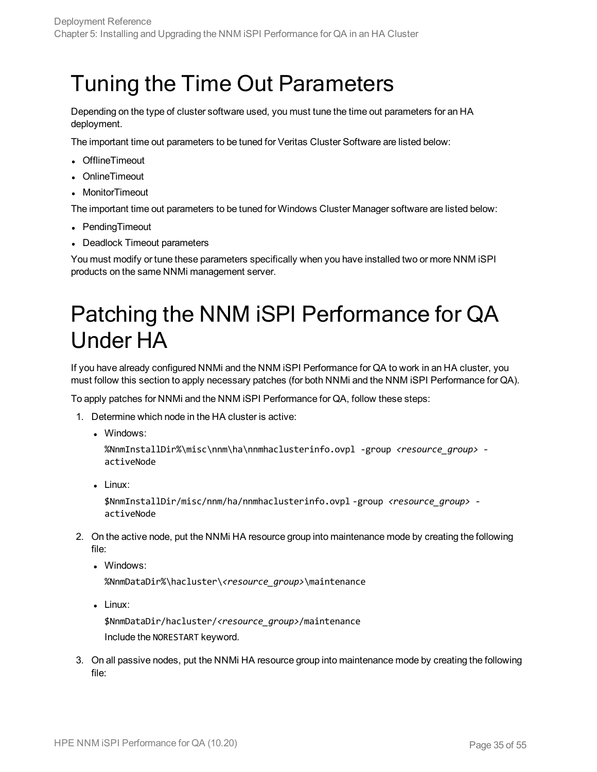## <span id="page-34-0"></span>Tuning the Time Out Parameters

Depending on the type of cluster software used, you must tune the time out parameters for an HA deployment.

The important time out parameters to be tuned for Veritas Cluster Software are listed below:

- OfflineTimeout
- OnlineTimeout
- MonitorTimeout

The important time out parameters to be tuned for Windows Cluster Manager software are listed below:

- PendingTimeout
- Deadlock Timeout parameters

<span id="page-34-1"></span>You must modify or tune these parameters specifically when you have installed two or more NNM iSPI products on the same NNMi management server.

## Patching the NNM iSPI Performance for QA Under HA

If you have already configured NNMi and the NNM iSPI Performance for QA to work in an HA cluster, you must follow this section to apply necessary patches (for both NNMi and the NNM iSPI Performance for QA).

To apply patches for NNMi and the NNM iSPI Performance for QA, follow these steps:

- 1. Determine which node in the HA cluster is active:
	- . Windows:

%NnmInstallDir%\misc\nnm\ha\nnmhaclusterinfo.ovpl -group *<resource\_group>* activeNode

 $\blacksquare$  Linux:

\$NnmInstallDir/misc/nnm/ha/nnmhaclusterinfo.ovpl -group *<resource\_group>* activeNode

- 2. On the active node, put the NNMi HA resource group into maintenance mode by creating the following file:
	- Windows:

%NnmDataDir%\hacluster\*<resource\_group>*\maintenance

 $\blacksquare$  Linux:

\$NnmDataDir/hacluster/*<resource\_group>*/maintenance Include the NORESTART keyword.

3. On all passive nodes, put the NNMi HA resource group into maintenance mode by creating the following file: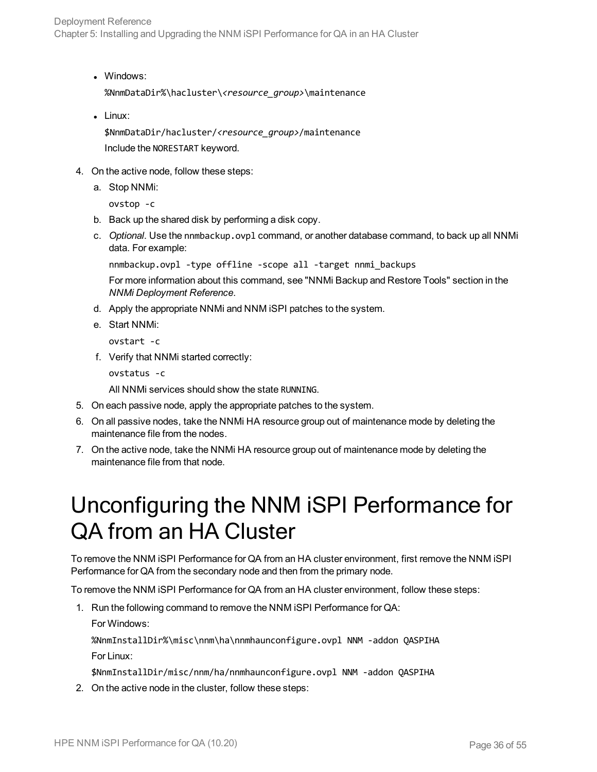Deployment Reference Chapter 5: Installing and Upgrading the NNM iSPI Performance for QA in an HA Cluster

• Windows:

%NnmDataDir%\hacluster\*<resource\_group>*\maintenance

 $\bullet$  Linux:

\$NnmDataDir/hacluster/*<resource\_group>*/maintenance Include the NORESTART keyword.

- 4. On the active node, follow these steps:
	- a. Stop NNMi:

ovstop -c

- b. Back up the shared disk by performing a disk copy.
- c. *Optional*. Use the nnmbackup.ovpl command, or another database command, to back up all NNMi data. For example:

```
nnmbackup.ovpl -type offline -scope all -target nnmi_backups
```
For more information about this command, see "NNMi Backup and Restore Tools" section in the *NNMi Deployment Reference*.

- d. Apply the appropriate NNMi and NNM iSPI patches to the system.
- e. Start NNMi:

ovstart -c

f. Verify that NNMi started correctly:

```
ovstatus -c
```
All NNMi services should show the state RUNNING.

- 5. On each passive node, apply the appropriate patches to the system.
- 6. On all passive nodes, take the NNMi HA resource group out of maintenance mode by deleting the maintenance file from the nodes.
- <span id="page-35-0"></span>7. On the active node, take the NNMi HA resource group out of maintenance mode by deleting the maintenance file from that node.

## Unconfiguring the NNM iSPI Performance for QA from an HA Cluster

To remove the NNM iSPI Performance for QA from an HA cluster environment, first remove the NNM iSPI Performance for QA from the secondary node and then from the primary node.

To remove the NNM iSPI Performance for QA from an HA cluster environment, follow these steps:

- 1. Run the following command to remove the NNM iSPI Performance for QA:
	- For Windows:

%NnmInstallDir%\misc\nnm\ha\nnmhaunconfigure.ovpl NNM -addon QASPIHA For Linux:

\$NnmInstallDir/misc/nnm/ha/nnmhaunconfigure.ovpl NNM -addon QASPIHA

2. On the active node in the cluster, follow these steps: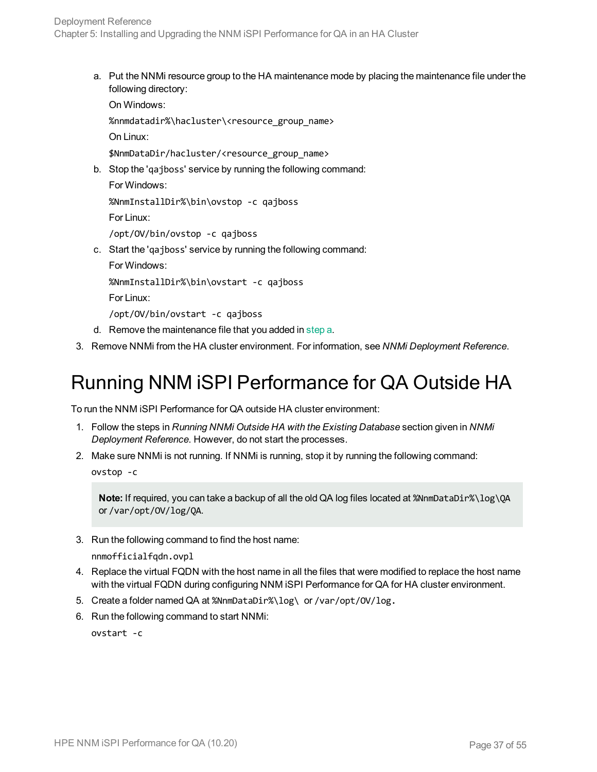<span id="page-36-1"></span>a. Put the NNMi resource group to the HA maintenance mode by placing the maintenance file under the following directory:

On Windows:

%nnmdatadir%\hacluster\<resource\_group\_name>

On Linux:

\$NnmDataDir/hacluster/<resource\_group\_name>

b. Stop the 'qajboss' service by running the following command: For Windows:

```
%NnmInstallDir%\bin\ovstop -c qajboss
For Linux:
```
/opt/OV/bin/ovstop -c qajboss

c. Start the 'qajboss' service by running the following command:

For Windows:

%NnmInstallDir%\bin\ovstart -c qajboss

For Linux:

/opt/OV/bin/ovstart -c qajboss

- d. Remove the maintenance file that you added in [step](#page-36-1) a.
- <span id="page-36-0"></span>3. Remove NNMi from the HA cluster environment. For information, see *NNMi Deployment Reference*.

## Running NNM iSPI Performance for QA Outside HA

To run the NNM iSPI Performance for QA outside HA cluster environment:

- 1. Follow the steps in *Running NNMi Outside HA with the Existing Database* section given in *NNMi Deployment Reference*. However, do not start the processes.
- 2. Make sure NNMi is not running. If NNMi is running, stop it by running the following command: ovstop -c

**Note:** If required, you can take a backup of all the old QA log files located at %NnmDataDir%\log\QA or /var/opt/OV/log/QA.

3. Run the following command to find the host name:

```
nnmofficialfqdn.ovpl
```
- 4. Replace the virtual FQDN with the host name in all the files that were modified to replace the host name with the virtual FQDN during configuring NNM iSPI Performance for QA for HA cluster environment.
- 5. Create a folder named QA at %NnmDataDir%\log\ or /var/opt/OV/log.
- 6. Run the following command to start NNMi:

ovstart -c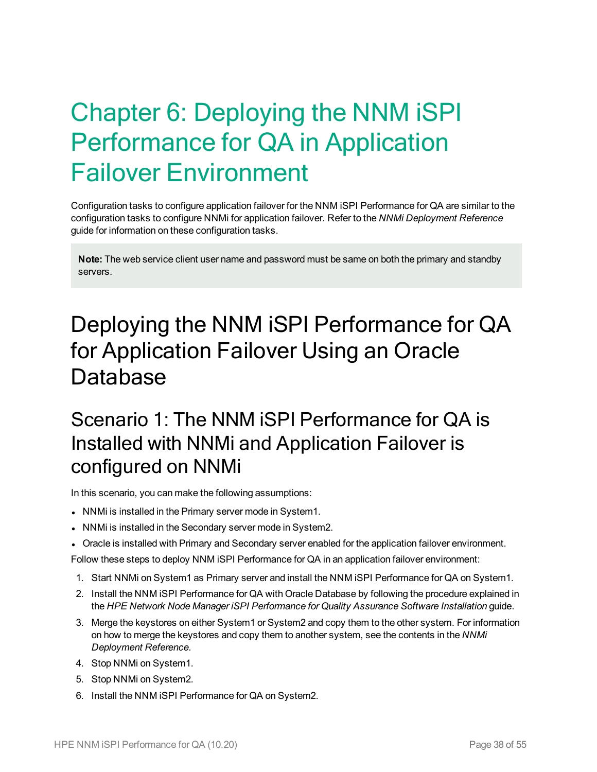# <span id="page-37-0"></span>Chapter 6: Deploying the NNM iSPI Performance for QA in Application Failover Environment

Configuration tasks to configure application failover for the NNM iSPI Performance for QA are similar to the configuration tasks to configure NNMi for application failover. Refer to the *NNMi Deployment Reference* guide for information on these configuration tasks.

**Note:** The web service client user name and password must be same on both the primary and standby servers.

## <span id="page-37-1"></span>Deploying the NNM iSPI Performance for QA for Application Failover Using an Oracle Database

### <span id="page-37-2"></span>Scenario 1: The NNM iSPI Performance for QA is Installed with NNMi and Application Failover is configured on NNMi

In this scenario, you can make the following assumptions:

- NNMi is installed in the Primary server mode in System1.
- NNMi is installed in the Secondary server mode in System2.
- Oracle is installed with Primary and Secondary server enabled for the application failover environment.

Follow these steps to deploy NNM iSPI Performance for QA in an application failover environment:

- 1. Start NNMi on System1 as Primary server and install the NNM iSPI Performance for QA on System1.
- 2. Install the NNM iSPI Performance for QA with Oracle Database by following the procedure explained in the *HPE Network Node Manager iSPI Performance for Quality Assurance Software Installation* guide.
- 3. Merge the keystores on either System1 or System2 and copy them to the other system. For information on how to merge the keystores and copy them to another system, see the contents in the *NNMi Deployment Reference*.
- 4. Stop NNMi on System1.
- 5. Stop NNMi on System2.
- 6. Install the NNM iSPI Performance for QA on System2.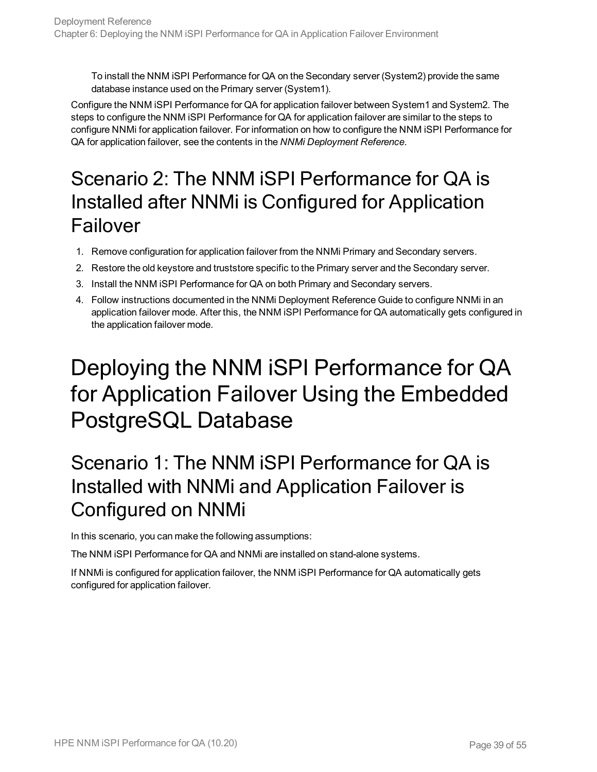To install the NNM iSPI Performance for QA on the Secondary server (System2) provide the same database instance used on the Primary server (System1).

Configure the NNM iSPI Performance for QA for application failover between System1 and System2. The steps to configure the NNM iSPI Performance for QA for application failover are similar to the steps to configure NNMi for application failover. For information on how to configure the NNM iSPI Performance for QA for application failover, see the contents in the *NNMi Deployment Reference*.

## <span id="page-38-0"></span>Scenario 2: The NNM iSPI Performance for QA is Installed after NNMi is Configured for Application Failover

- 1. Remove configuration for application failover from the NNMi Primary and Secondary servers.
- 2. Restore the old keystore and truststore specific to the Primary server and the Secondary server.
- 3. Install the NNM iSPI Performance for QA on both Primary and Secondary servers.
- 4. Follow instructions documented in the NNMi Deployment Reference Guide to configure NNMi in an application failover mode. After this, the NNM iSPI Performance for QA automatically gets configured in the application failover mode.

# <span id="page-38-1"></span>Deploying the NNM iSPI Performance for QA for Application Failover Using the Embedded PostgreSQL Database

## <span id="page-38-2"></span>Scenario 1: The NNM iSPI Performance for QA is Installed with NNMi and Application Failover is Configured on NNMi

In this scenario, you can make the following assumptions:

The NNM iSPI Performance for QA and NNMi are installed on stand-alone systems.

If NNMi is configured for application failover, the NNM iSPI Performance for QA automatically gets configured for application failover.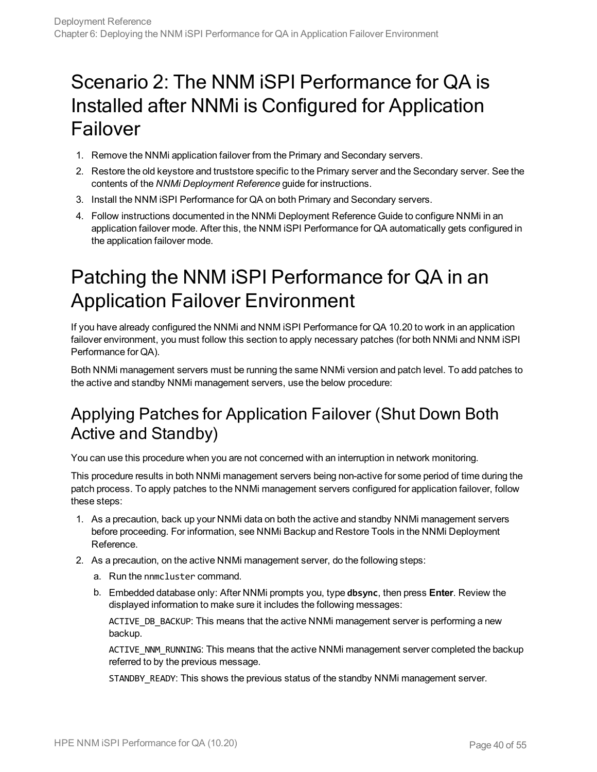## <span id="page-39-0"></span>Scenario 2: The NNM iSPI Performance for QA is Installed after NNMi is Configured for Application Failover

- 1. Remove the NNMi application failover from the Primary and Secondary servers.
- 2. Restore the old keystore and truststore specific to the Primary server and the Secondary server. See the contents of the *NNMi Deployment Reference* guide for instructions.
- 3. Install the NNM iSPI Performance for QA on both Primary and Secondary servers.
- 4. Follow instructions documented in the NNMi Deployment Reference Guide to configure NNMi in an application failover mode. After this, the NNM iSPI Performance for QA automatically gets configured in the application failover mode.

## <span id="page-39-1"></span>Patching the NNM iSPI Performance for QA in an Application Failover Environment

If you have already configured the NNMi and NNM iSPI Performance for QA 10.20 to work in an application failover environment, you must follow this section to apply necessary patches (for both NNMi and NNM iSPI Performance for QA).

Both NNMi management servers must be running the same NNMi version and patch level. To add patches to the active and standby NNMi management servers, use the below procedure:

### <span id="page-39-2"></span>Applying Patches for Application Failover (Shut Down Both Active and Standby)

You can use this procedure when you are not concerned with an interruption in network monitoring.

This procedure results in both NNMi management servers being non-active for some period of time during the patch process. To apply patches to the NNMi management servers configured for application failover, follow these steps:

- 1. As a precaution, back up your NNMi data on both the active and standby NNMi management servers before proceeding. For information, see NNMi Backup and Restore Tools in the NNMi Deployment Reference.
- 2. As a precaution, on the active NNMi management server, do the following steps:
	- a. Run the nnmcluster command.
	- b. Embedded database only: After NNMi prompts you, type **dbsync**, then press **Enter**. Review the displayed information to make sure it includes the following messages:

ACTIVE\_DB\_BACKUP: This means that the active NNMi management server is performing a new backup.

ACTIVE\_NNM\_RUNNING: This means that the active NNMi management server completed the backup referred to by the previous message.

STANDBY\_READY: This shows the previous status of the standby NNMi management server.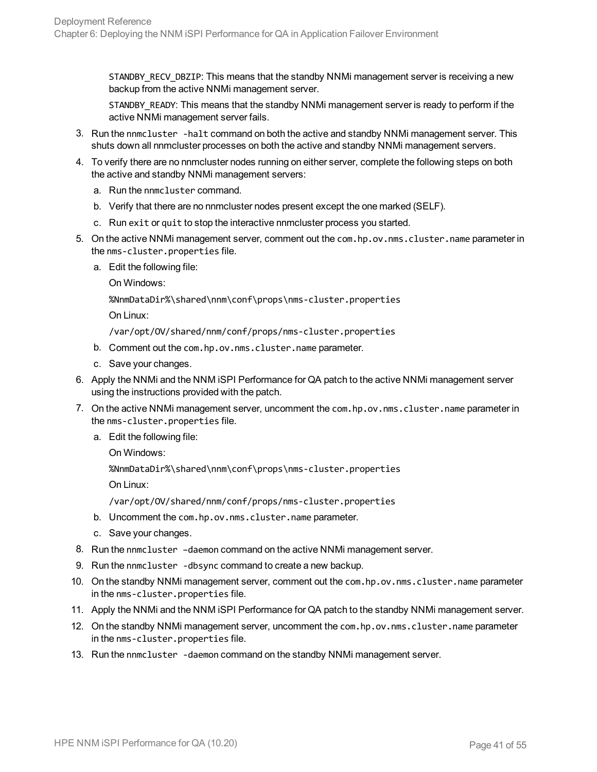STANDBY\_RECV\_DBZIP: This means that the standby NNMi management server is receiving a new backup from the active NNMi management server.

STANDBY READY: This means that the standby NNMi management server is ready to perform if the active NNMi management server fails.

- 3. Run the nnmcluster -halt command on both the active and standby NNMi management server. This shuts down all nnmcluster processes on both the active and standby NNMi management servers.
- 4. To verify there are no nnmcluster nodes running on either server, complete the following steps on both the active and standby NNMi management servers:
	- a. Run the nnmcluster command.
	- b. Verify that there are no nnmcluster nodes present except the one marked (SELF).
	- c. Run exit or quit to stop the interactive nnmcluster process you started.
- 5. On the active NNMi management server, comment out the com.hp.ov.nms.cluster.name parameter in the nms-cluster.properties file.
	- a. Edit the following file:

On Windows:

%NnmDataDir%\shared\nnm\conf\props\nms-cluster.properties

On Linux:

/var/opt/OV/shared/nnm/conf/props/nms-cluster.properties

- b. Comment out the com.hp.ov.nms.cluster.name parameter.
- c. Save your changes.
- 6. Apply the NNMi and the NNM iSPI Performance for QA patch to the active NNMi management server using the instructions provided with the patch.
- 7. On the active NNMi management server, uncomment the com.hp.ov.nms.cluster.name parameter in the nms-cluster.properties file.
	- a. Edit the following file:
		- On Windows:

%NnmDataDir%\shared\nnm\conf\props\nms-cluster.properties

On Linux:

/var/opt/OV/shared/nnm/conf/props/nms-cluster.properties

- b. Uncomment the com.hp.ov.nms.cluster.name parameter.
- c. Save your changes.
- 8. Run the nnmcluster –daemon command on the active NNMi management server.
- 9. Run the nnmcluster -dbsync command to create a new backup.
- 10. On the standby NNMi management server, comment out the com.hp.ov.nms.cluster.name parameter in the nms-cluster.properties file.
- 11. Apply the NNMi and the NNM iSPI Performance for QA patch to the standby NNMi management server.
- 12. On the standby NNMi management server, uncomment the com.hp.ov.nms.cluster.name parameter in the nms-cluster.properties file.
- 13. Run the nnmcluster -daemon command on the standby NNMi management server.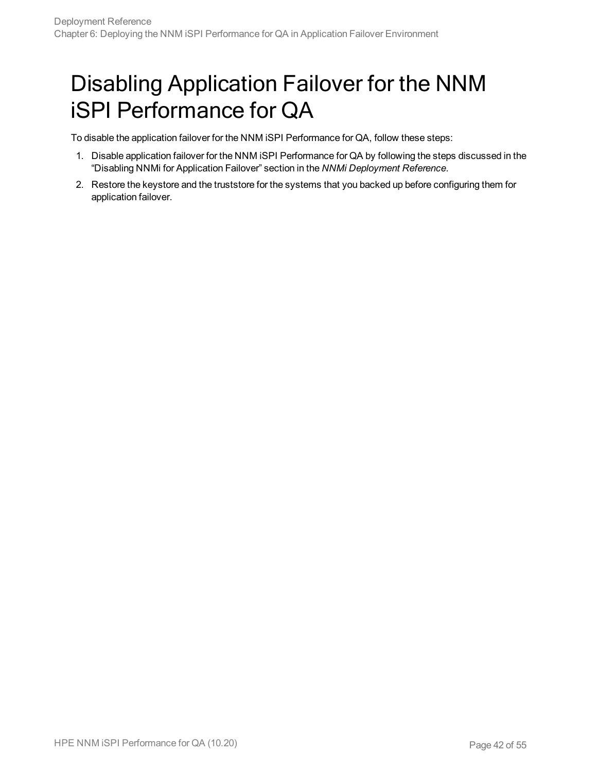## <span id="page-41-0"></span>Disabling Application Failover for the NNM iSPI Performance for QA

To disable the application failover for the NNM iSPI Performance for QA, follow these steps:

- 1. Disable application failover for the NNM iSPI Performance for QA by following the steps discussed in the "Disabling NNMi for Application Failover" section in the *NNMi Deployment Reference*.
- 2. Restore the keystore and the truststore for the systems that you backed up before configuring them for application failover.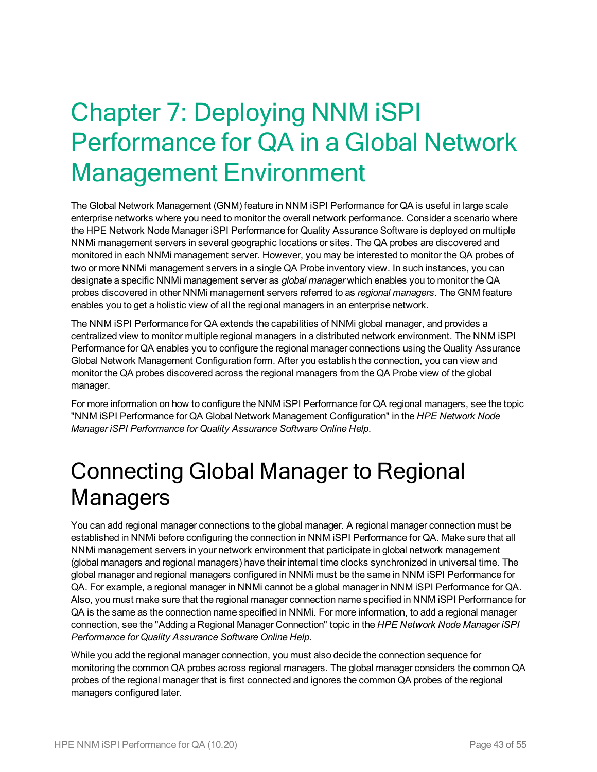# <span id="page-42-0"></span>Chapter 7: Deploying NNM iSPI Performance for QA in a Global Network Management Environment

The Global Network Management (GNM) feature in NNM iSPI Performance for QA is useful in large scale enterprise networks where you need to monitor the overall network performance. Consider a scenario where the HPE Network Node Manager iSPI Performance for Quality Assurance Software is deployed on multiple NNMi management servers in several geographic locations or sites. The QA probes are discovered and monitored in each NNMi management server. However, you may be interested to monitor the QA probes of two or more NNMi management servers in a single QA Probe inventory view. In such instances, you can designate a specific NNMi management server as *global manager* which enables you to monitor the QA probes discovered in other NNMi management servers referred to as *regional managers*. The GNM feature enables you to get a holistic view of all the regional managers in an enterprise network.

The NNM iSPI Performance for QA extends the capabilities of NNMi global manager, and provides a centralized view to monitor multiple regional managers in a distributed network environment. The NNM iSPI Performance for QA enables you to configure the regional manager connections using the Quality Assurance Global Network Management Configuration form. After you establish the connection, you can view and monitor the QA probes discovered across the regional managers from the QA Probe view of the global manager.

For more information on how to configure the NNM iSPI Performance for QA regional managers, see the topic "NNM iSPI Performance for QA Global Network Management Configuration" in the *HPE Network Node Manager iSPI Performance for Quality Assurance Software Online Help*.

## <span id="page-42-1"></span>Connecting Global Manager to Regional **Managers**

You can add regional manager connections to the global manager. A regional manager connection must be established in NNMi before configuring the connection in NNM iSPI Performance for QA. Make sure that all NNMi management servers in your network environment that participate in global network management (global managers and regional managers) have their internal time clocks synchronized in universal time. The global manager and regional managers configured in NNMi must be the same in NNM iSPI Performance for QA. For example, a regional manager in NNMi cannot be a global manager in NNM iSPI Performance for QA. Also, you must make sure that the regional manager connection name specified in NNM iSPI Performance for QA is the same as the connection name specified in NNMi. For more information, to add a regional manager connection, see the "Adding a Regional Manager Connection" topic in the *HPE Network Node Manager iSPI Performance for Quality Assurance Software Online Help*.

While you add the regional manager connection, you must also decide the connection sequence for monitoring the common QA probes across regional managers. The global manager considers the common QA probes of the regional manager that is first connected and ignores the common QA probes of the regional managers configured later.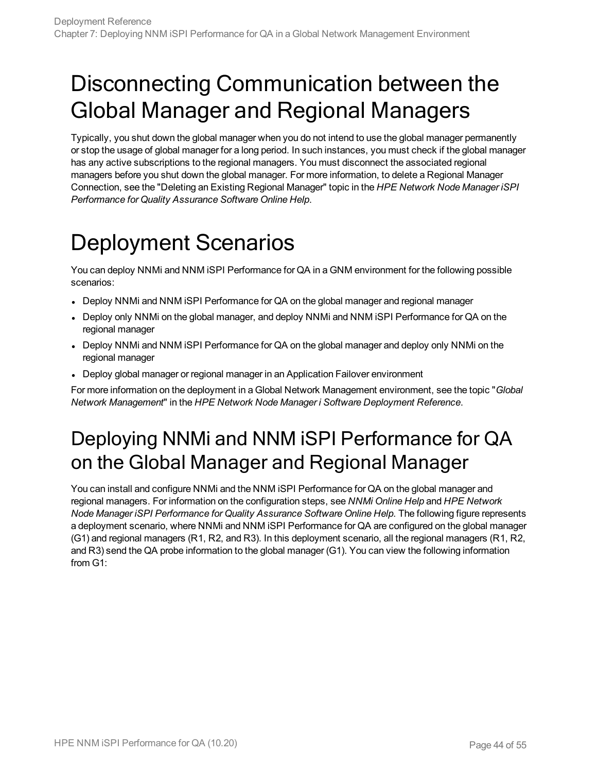## <span id="page-43-0"></span>Disconnecting Communication between the Global Manager and Regional Managers

Typically, you shut down the global manager when you do not intend to use the global manager permanently or stop the usage of global manager for a long period. In such instances, you must check if the global manager has any active subscriptions to the regional managers. You must disconnect the associated regional managers before you shut down the global manager. For more information, to delete a Regional Manager Connection, see the "Deleting an Existing Regional Manager" topic in the *HPE Network Node Manager iSPI Performance for Quality Assurance Software Online Help*.

# <span id="page-43-1"></span>Deployment Scenarios

You can deploy NNMi and NNM iSPI Performance for QA in a GNM environment for the following possible scenarios:

- Deploy NNMi and NNM iSPI Performance for QA on the global manager and regional manager
- Deploy only NNMi on the global manager, and deploy NNMi and NNM iSPI Performance for QA on the regional manager
- Deploy NNMi and NNM iSPI Performance for QA on the global manager and deploy only NNMi on the regional manager
- Deploy global manager or regional manager in an Application Failover environment

<span id="page-43-2"></span>For more information on the deployment in a Global Network Management environment, see the topic "*Global Network Management*" in the *HPE Network Node Manager i Software Deployment Reference*.

## Deploying NNMi and NNM iSPI Performance for QA on the Global Manager and Regional Manager

You can install and configure NNMi and the NNM iSPI Performance for QA on the global manager and regional managers. For information on the configuration steps, see *NNMi Online Help* and *HPE Network Node Manager iSPI Performance for Quality Assurance Software Online Help*. The following figure represents a deployment scenario, where NNMi and NNM iSPI Performance for QA are configured on the global manager (G1) and regional managers (R1, R2, and R3). In this deployment scenario, all the regional managers (R1, R2, and R3) send the QA probe information to the global manager (G1). You can view the following information from G1: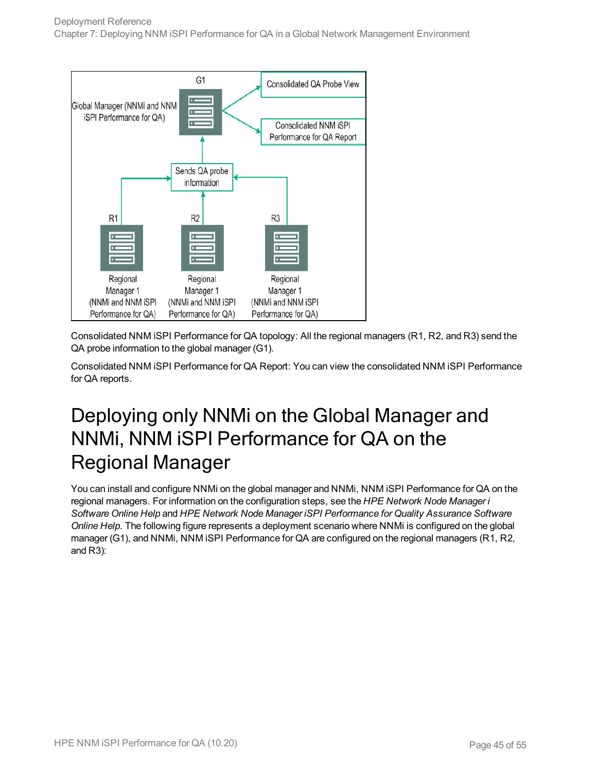

Consolidated NNM iSPI Performance for QA topology: All the regional managers (R1, R2, and R3) send the QA probe information to the global manager (G1).

<span id="page-44-0"></span>Consolidated NNM iSPI Performance for QA Report: You can view the consolidated NNM iSPI Performance for QA reports.

### Deploying only NNMi on the Global Manager and NNMi, NNM iSPI Performance for QA on the Regional Manager

You can install and configure NNMi on the global manager and NNMi, NNM iSPI Performance for QA on the regional managers. For information on the configuration steps, see the *HPE Network Node Manager i Software Online Help* and *HPE Network Node Manager iSPI Performance for Quality Assurance Software Online Help*. The following figure represents a deployment scenario where NNMi is configured on the global manager (G1), and NNMi, NNM iSPI Performance for QA are configured on the regional managers (R1, R2, and R3):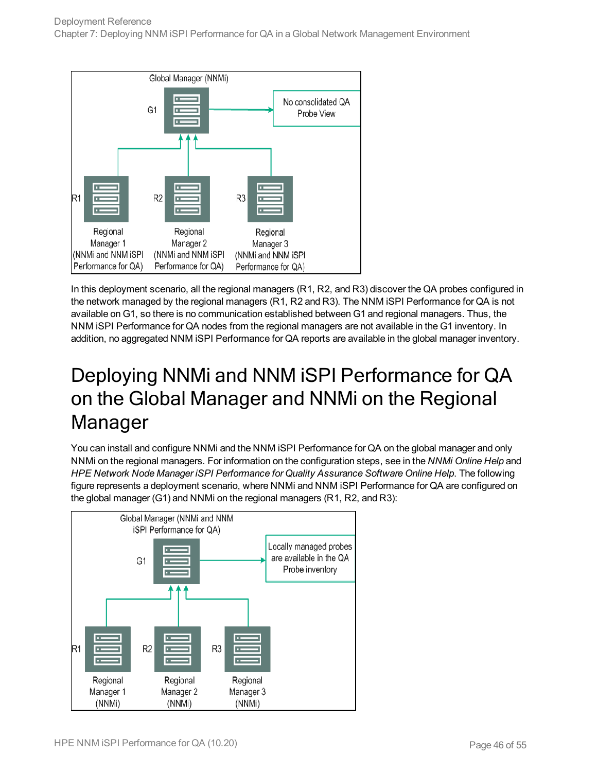

In this deployment scenario, all the regional managers (R1, R2, and R3) discover the QA probes configured in the network managed by the regional managers (R1, R2 and R3). The NNM iSPI Performance for QA is not available on G1, so there is no communication established between G1 and regional managers. Thus, the NNM iSPI Performance for QA nodes from the regional managers are not available in the G1 inventory. In addition, no aggregated NNM iSPI Performance for QA reports are available in the global manager inventory.

## <span id="page-45-0"></span>Deploying NNMi and NNM iSPI Performance for QA on the Global Manager and NNMi on the Regional Manager

You can install and configure NNMi and the NNM iSPI Performance for QA on the global manager and only NNMi on the regional managers. For information on the configuration steps, see in the *NNMi Online Help* and *HPE Network Node Manager iSPI Performance for Quality Assurance Software Online Help*. The following figure represents a deployment scenario, where NNMi and NNM iSPI Performance for QA are configured on the global manager (G1) and NNMi on the regional managers (R1, R2, and R3):

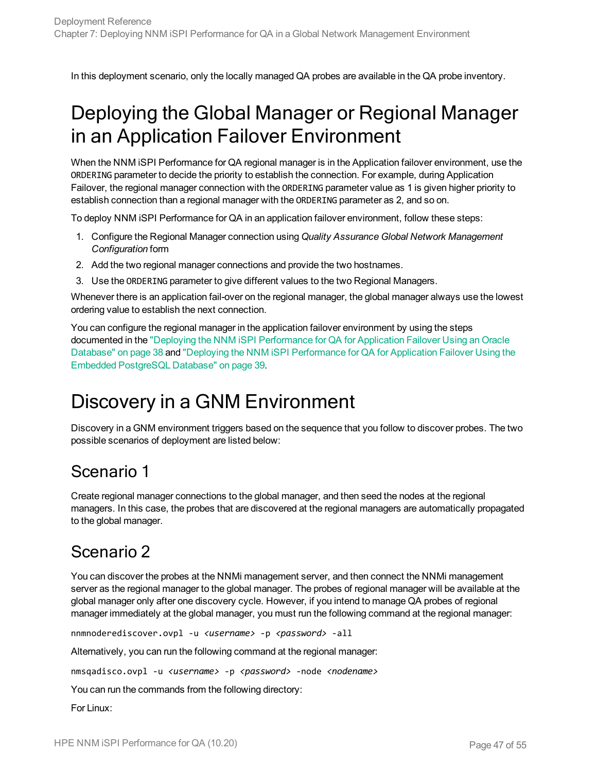<span id="page-46-0"></span>In this deployment scenario, only the locally managed QA probes are available in the QA probe inventory.

## Deploying the Global Manager or Regional Manager in an Application Failover Environment

When the NNM iSPI Performance for QA regional manager is in the Application failover environment, use the ORDERING parameter to decide the priority to establish the connection. For example, during Application Failover, the regional manager connection with the ORDERING parameter value as 1 is given higher priority to establish connection than a regional manager with the ORDERING parameter as 2, and so on.

To deploy NNM iSPI Performance for QA in an application failover environment, follow these steps:

- 1. Configure the Regional Manager connection using *Quality Assurance Global Network Management Configuration* form
- 2. Add the two regional manager connections and provide the two hostnames.
- 3. Use the ORDERING parameter to give different values to the two Regional Managers.

Whenever there is an application fail-over on the regional manager, the global manager always use the lowest ordering value to establish the next connection.

You can configure the regional manager in the application failover environment by using the steps documented in the "Deploying the NNM iSPI [Performance](#page-37-1) for QA for Application Failover Using an Oracle [Database"](#page-37-1) on page 38 and "Deploying the NNM iSPI [Performance](#page-38-1) for QA for Application Failover Using the Embedded [PostgreSQL](#page-38-1) Database" on page 39.

### <span id="page-46-1"></span>Discovery in a GNM Environment

Discovery in a GNM environment triggers based on the sequence that you follow to discover probes. The two possible scenarios of deployment are listed below:

#### <span id="page-46-2"></span>Scenario 1

Create regional manager connections to the global manager, and then seed the nodes at the regional managers. In this case, the probes that are discovered at the regional managers are automatically propagated to the global manager.

#### <span id="page-46-3"></span>Scenario 2

You can discover the probes at the NNMi management server, and then connect the NNMi management server as the regional manager to the global manager. The probes of regional manager will be available at the global manager only after one discovery cycle. However, if you intend to manage QA probes of regional manager immediately at the global manager, you must run the following command at the regional manager:

nnmnoderediscover.ovpl -u *<username>* -p *<password>* -all

Alternatively, you can run the following command at the regional manager:

nmsqadisco.ovpl -u *<username>* -p *<password>* -node *<nodename>*

You can run the commands from the following directory:

For Linux: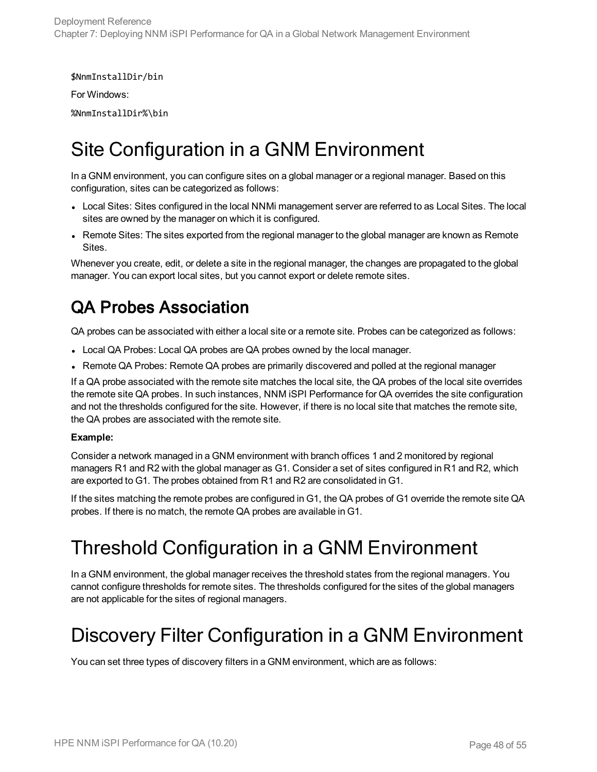\$NnmInstallDir/bin

For Windows:

<span id="page-47-0"></span>%NnmInstallDir%\bin

### Site Configuration in a GNM Environment

In a GNM environment, you can configure sites on a global manager or a regional manager. Based on this configuration, sites can be categorized as follows:

- Local Sites: Sites configured in the local NNMi management server are referred to as Local Sites. The local sites are owned by the manager on which it is configured.
- Remote Sites: The sites exported from the regional manager to the global manager are known as Remote Sites.

Whenever you create, edit, or delete a site in the regional manager, the changes are propagated to the global manager. You can export local sites, but you cannot export or delete remote sites.

### QA Probes Association

QA probes can be associated with either a local site or a remote site. Probes can be categorized as follows:

- Local QA Probes: Local QA probes are QA probes owned by the local manager.
- Remote QA Probes: Remote QA probes are primarily discovered and polled at the regional manager

If a QA probe associated with the remote site matches the local site, the QA probes of the local site overrides the remote site QA probes. In such instances, NNM iSPI Performance for QA overrides the site configuration and not the thresholds configured for the site. However, if there is no local site that matches the remote site, the QA probes are associated with the remote site.

#### **Example:**

Consider a network managed in a GNM environment with branch offices 1 and 2 monitored by regional managers R1 and R2 with the global manager as G1. Consider a set of sites configured in R1 and R2, which are exported to G1. The probes obtained from R1 and R2 are consolidated in G1.

<span id="page-47-1"></span>If the sites matching the remote probes are configured in G1, the QA probes of G1 override the remote site QA probes. If there is no match, the remote QA probes are available in G1.

## Threshold Configuration in a GNM Environment

In a GNM environment, the global manager receives the threshold states from the regional managers. You cannot configure thresholds for remote sites. The thresholds configured for the sites of the global managers are not applicable for the sites of regional managers.

### <span id="page-47-2"></span>Discovery Filter Configuration in a GNM Environment

You can set three types of discovery filters in a GNM environment, which are as follows: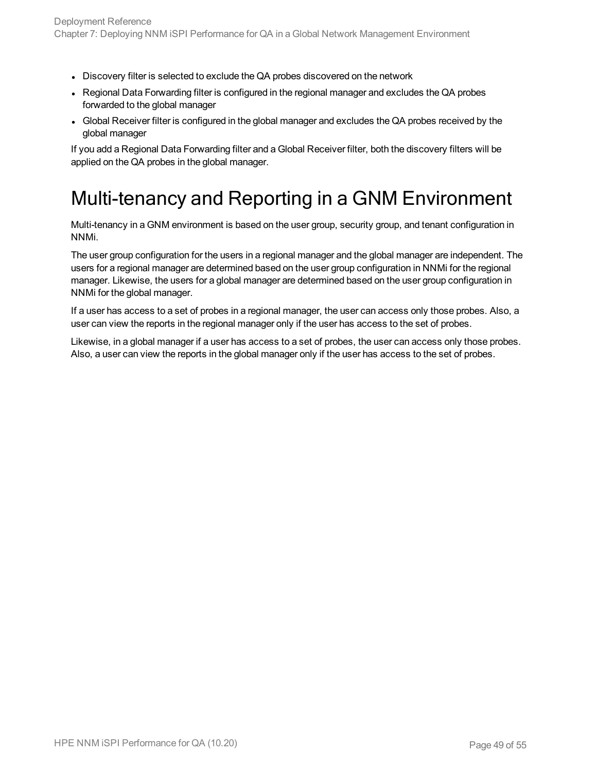- Discovery filter is selected to exclude the QA probes discovered on the network
- Regional Data Forwarding filter is configured in the regional manager and excludes the QA probes forwarded to the global manager
- Global Receiver filter is configured in the global manager and excludes the QA probes received by the global manager

<span id="page-48-0"></span>If you add a Regional Data Forwarding filter and a Global Receiver filter, both the discovery filters will be applied on the QA probes in the global manager.

## Multi-tenancy and Reporting in a GNM Environment

Multi-tenancy in a GNM environment is based on the user group, security group, and tenant configuration in NNMi.

The user group configuration for the users in a regional manager and the global manager are independent. The users for a regional manager are determined based on the user group configuration in NNMi for the regional manager. Likewise, the users for a global manager are determined based on the user group configuration in NNMi for the global manager.

If a user has access to a set of probes in a regional manager, the user can access only those probes. Also, a user can view the reports in the regional manager only if the user has access to the set of probes.

Likewise, in a global manager if a user has access to a set of probes, the user can access only those probes. Also, a user can view the reports in the global manager only if the user has access to the set of probes.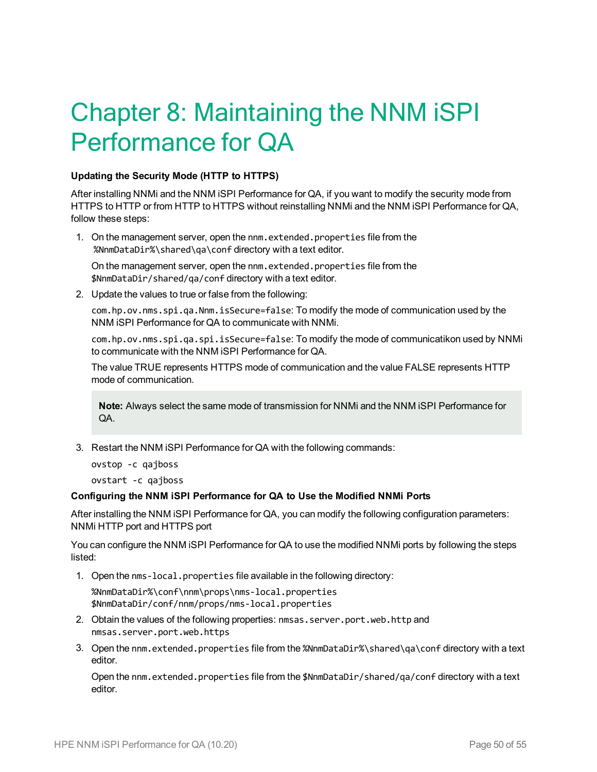# <span id="page-49-0"></span>Chapter 8: Maintaining the NNM iSPI Performance for QA

#### **Updating the Security Mode (HTTP to HTTPS)**

After installing NNMi and the NNM iSPI Performance for QA, if you want to modify the security mode from HTTPS to HTTP or from HTTP to HTTPS without reinstalling NNMi and the NNM iSPI Performance for QA, follow these steps:

1. On the management server, open the nnm.extended.properties file from the %NnmDataDir%\shared\qa\conf directory with a text editor.

On the management server, open the nnm.extended.properties file from the \$NnmDataDir/shared/qa/conf directory with a text editor.

2. Update the values to true or false from the following:

com.hp.ov.nms.spi.qa.Nnm.isSecure=false: To modify the mode of communication used by the NNM iSPI Performance for QA to communicate with NNMi.

com.hp.ov.nms.spi.qa.spi.isSecure=false: To modify the mode of communicatikon used by NNMi to communicate with the NNM iSPI Performance for QA.

The value TRUE represents HTTPS mode of communication and the value FALSE represents HTTP mode of communication.

**Note:** Always select the same mode of transmission for NNMi and the NNM iSPI Performance for QA.

3. Restart the NNM iSPI Performance for QA with the following commands:

ovstop -c qajboss

ovstart -c qajboss

#### **Configuring the NNM iSPI Performance for QA to Use the Modified NNMi Ports**

After installing the NNM iSPI Performance for QA, you can modify the following configuration parameters: NNMi HTTP port and HTTPS port

You can configure the NNM iSPI Performance for QA to use the modified NNMi ports by following the steps listed:

1. Open the nms-local.properties file available in the following directory:

<span id="page-49-1"></span>%NnmDataDir%\conf\nnm\props\nms-local.properties \$NnmDataDir/conf/nnm/props/nms-local.properties

- 2. Obtain the values of the following properties: nmsas.server.port.web.http and nmsas.server.port.web.https
- 3. Open the nnm.extended.properties file from the %NnmDataDir%\shared\qa\conf directory with a text editor.

Open the nnm.extended.properties file from the \$NnmDataDir/shared/qa/conf directory with a text editor.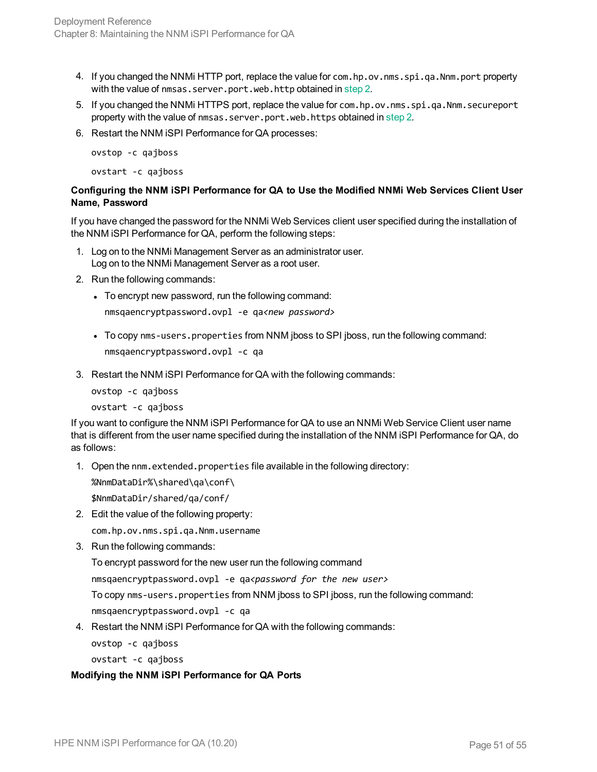- 4. If you changed the NNMi HTTP port, replace the value for com.hp.ov.nms.spi.qa.Nnm.port property with the value of nmsas.server.port.web.http obtained in [step](#page-49-1) 2.
- 5. If you changed the NNMi HTTPS port, replace the value for com.hp.ov.nms.spi.qa.Nnm.secureport property with the value of nmsas.server.port.web.https obtained in [step](#page-49-1) 2.
- 6. Restart the NNM iSPI Performance for QA processes:

ovstop -c qajboss ovstart -c qajboss

#### **Configuring the NNM iSPI Performance for QA to Use the Modified NNMi Web Services Client User Name, Password**

If you have changed the password for the NNMi Web Services client user specified during the installation of the NNM iSPI Performance for QA, perform the following steps:

- 1. Log on to the NNMi Management Server as an administrator user. Log on to the NNMi Management Server as a root user.
- 2. Run the following commands:
	- To encrypt new password, run the following command:

nmsqaencryptpassword.ovpl -e qa*<new password>*

- To copy nms-users.properties from NNM jboss to SPI jboss, run the following command: nmsqaencryptpassword.ovpl -c qa
- 3. Restart the NNM iSPI Performance for QA with the following commands:

ovstop -c qajboss ovstart -c qajboss

If you want to configure the NNM iSPI Performance for QA to use an NNMi Web Service Client user name that is different from the user name specified during the installation of the NNM iSPI Performance for QA, do as follows:

1. Open the nnm.extended.properties file available in the following directory:

```
%NnmDataDir%\shared\qa\conf\
```
\$NnmDataDir/shared/qa/conf/

2. Edit the value of the following property:

com.hp.ov.nms.spi.qa.Nnm.username

3. Run the following commands:

To encrypt password for the new user run the following command

nmsqaencryptpassword.ovpl -e qa*<password for the new user>*

To copy nms-users.properties from NNM jboss to SPI jboss, run the following command:

nmsqaencryptpassword.ovpl -c qa

4. Restart the NNM iSPI Performance for QA with the following commands:

ovstop -c qajboss

ovstart -c qajboss

#### **Modifying the NNM iSPI Performance for QA Ports**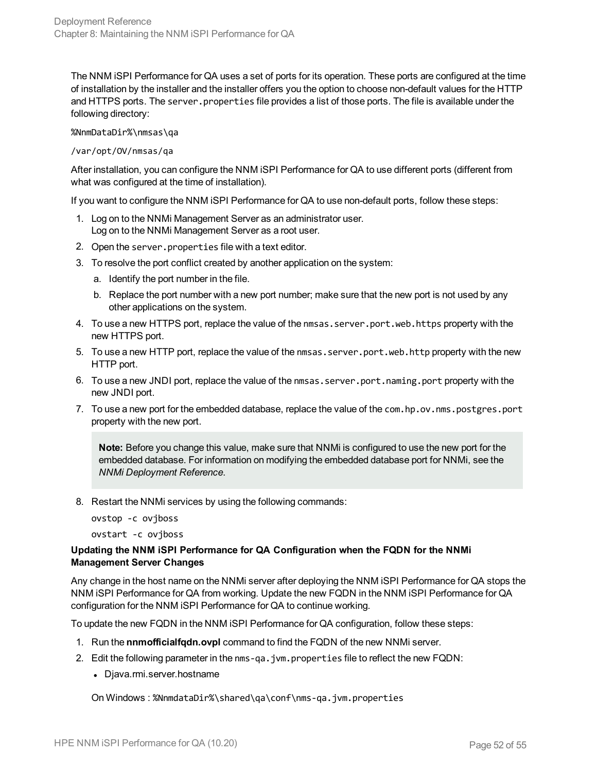The NNM iSPI Performance for QA uses a set of ports for its operation. These ports are configured at the time of installation by the installer and the installer offers you the option to choose non-default values for the HTTP and HTTPS ports. The server. properties file provides a list of those ports. The file is available under the following directory:

%NnmDataDir%\nmsas\qa

#### /var/opt/OV/nmsas/qa

After installation, you can configure the NNM iSPI Performance for QA to use different ports (different from what was configured at the time of installation).

If you want to configure the NNM iSPI Performance for QA to use non-default ports, follow these steps:

- 1. Log on to the NNMi Management Server as an administrator user. Log on to the NNMi Management Server as a root user.
- 2. Open the server.properties file with a text editor.
- 3. To resolve the port conflict created by another application on the system:
	- a. Identify the port number in the file.
	- b. Replace the port number with a new port number; make sure that the new port is not used by any other applications on the system.
- 4. To use a new HTTPS port, replace the value of the nmsas.server.port.web.https property with the new HTTPS port.
- 5. To use a new HTTP port, replace the value of the nmsas.server.port.web.http property with the new HTTP port.
- 6. To use a new JNDI port, replace the value of the nmsas.server.port.naming.port property with the new JNDI port.
- 7. To use a new port for the embedded database, replace the value of the com.hp.ov.nms.postgres.port property with the new port.

**Note:** Before you change this value, make sure that NNMi is configured to use the new port for the embedded database. For information on modifying the embedded database port for NNMi, see the *NNMi Deployment Reference*.

8. Restart the NNMi services by using the following commands:

ovstop -c ovjboss

ovstart -c ovjboss

#### **Updating the NNM iSPI Performance for QA Configuration when the FQDN for the NNMi Management Server Changes**

Any change in the host name on the NNMi server after deploying the NNM iSPI Performance for QA stops the NNM iSPI Performance for QA from working. Update the new FQDN in the NNM iSPI Performance for QA configuration for the NNM iSPI Performance for QA to continue working.

To update the new FQDN in the NNM iSPI Performance for QA configuration, follow these steps:

- 1. Run the **nnmofficialfqdn.ovpl** command to find the FQDN of the new NNMi server.
- 2. Edit the following parameter in the nms-qa.jvm.properties file to reflect the new FQDN:
	- Djava.rmi.server.hostname

On Windows : %NnmdataDir%\shared\qa\conf\nms-qa.jvm.properties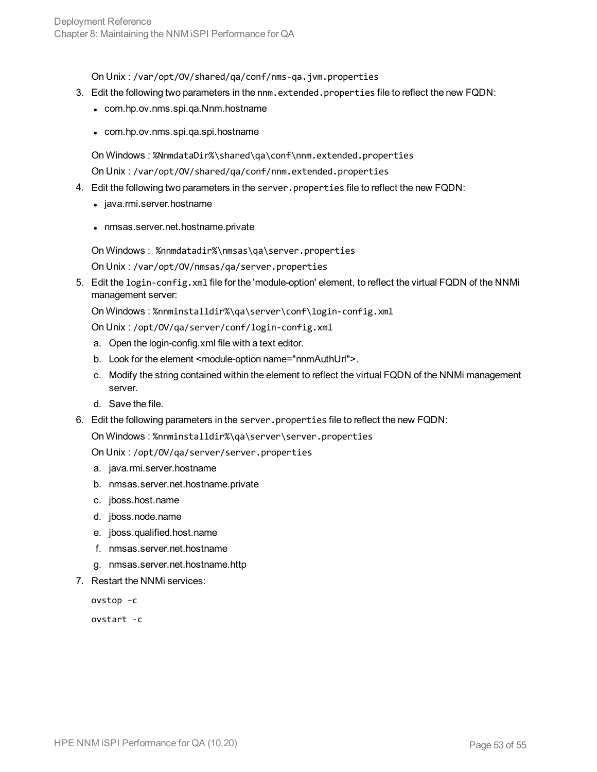On Unix : /var/opt/OV/shared/qa/conf/nms-qa.jvm.properties

- 3. Edit the following two parameters in the nnm.extended.properties file to reflect the new FQDN:
	- com.hp.ov.nms.spi.qa.Nnm.hostname
	- com.hp.ov.nms.spi.qa.spi.hostname

On Windows : %NnmdataDir%\shared\qa\conf\nnm.extended.properties

On Unix : /var/opt/OV/shared/qa/conf/nnm.extended.properties

- 4. Edit the following two parameters in the server.properties file to reflect the new FQDN:
	- java.rmi.server.hostname
	- nmsas.server.net.hostname.private

On Windows : %nnmdatadir%\nmsas\qa\server.properties

On Unix : /var/opt/OV/nmsas/qa/server.properties

5. Edit the login-config.xml file for the 'module-option' element, to reflect the virtual FQDN of the NNMi management server:

On Windows : %nnminstalldir%\qa\server\conf\login-config.xml

On Unix : /opt/OV/qa/server/conf/login-config.xml

- a. Open the login-config.xml file with a text editor.
- b. Look for the element <module-option name="nnmAuthUrl">.
- c. Modify the string contained within the element to reflect the virtual FQDN of the NNMi management server.
- d. Save the file.
- 6. Edit the following parameters in the server.properties file to reflect the new FQDN:

On Windows : %nnminstalldir%\qa\server\server.properties

On Unix : /opt/OV/qa/server/server.properties

- a. java.rmi.server.hostname
- b. nmsas.server.net.hostname.private
- c. jboss.host.name
- d. jboss.node.name
- e. jboss.qualified.host.name
- f. nmsas.server.net.hostname
- g. nmsas.server.net.hostname.http
- 7. Restart the NNMi services:

ovstop –c

ovstart -c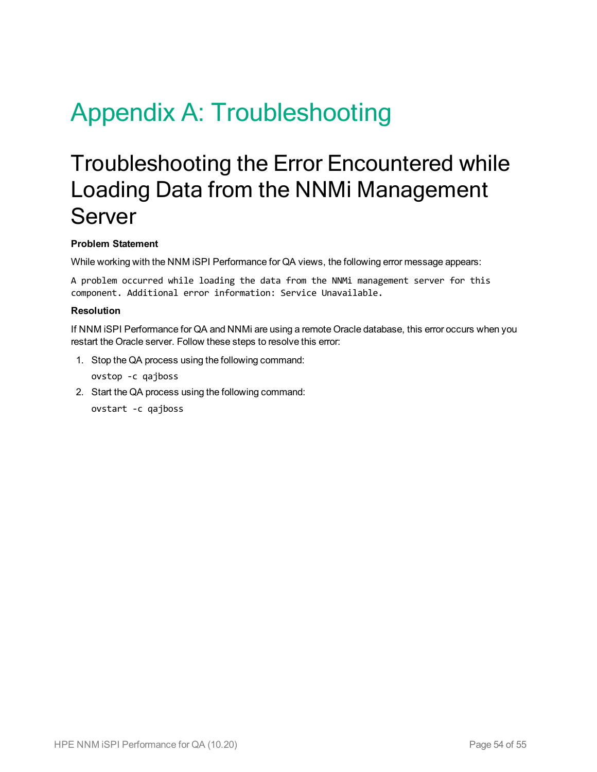# <span id="page-53-1"></span><span id="page-53-0"></span>Appendix A: Troubleshooting

## Troubleshooting the Error Encountered while Loading Data from the NNMi Management Server

#### **Problem Statement**

While working with the NNM iSPI Performance for QA views, the following error message appears:

A problem occurred while loading the data from the NNMi management server for this component. Additional error information: Service Unavailable.

#### **Resolution**

If NNM iSPI Performance for QA and NNMi are using a remote Oracle database, this error occurs when you restart the Oracle server. Follow these steps to resolve this error:

1. Stop the QA process using the following command:

ovstop -c qajboss

2. Start the QA process using the following command:

ovstart -c qajboss